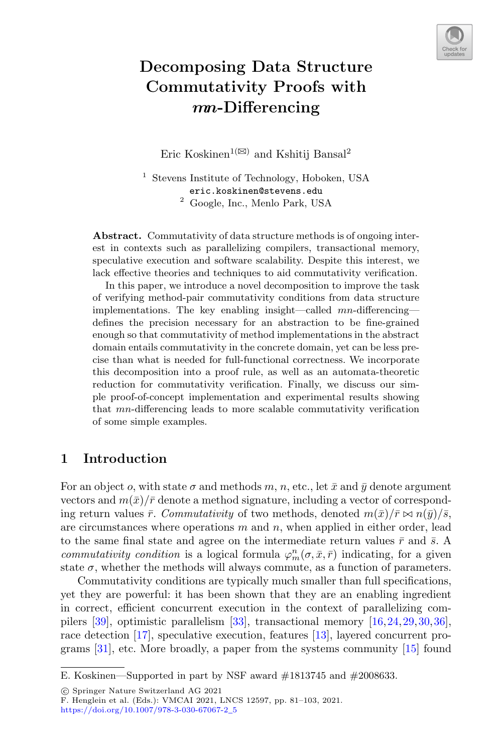

# **Decomposing Data Structure Commutativity Proofs with** *mn***-Differencing**

Eric Koskinen<sup>1( $\boxtimes$ )</sup> and Kshitij Bansal<sup>2</sup>

<sup>1</sup> Stevens Institute of Technology, Hoboken, USA eric.koskinen@stevens.edu <sup>2</sup> Google, Inc., Menlo Park, USA

**Abstract.** Commutativity of data structure methods is of ongoing interest in contexts such as parallelizing compilers, transactional memory, speculative execution and software scalability. Despite this interest, we lack effective theories and techniques to aid commutativity verification.

In this paper, we introduce a novel decomposition to improve the task of verifying method-pair commutativity conditions from data structure implementations. The key enabling insight—called  $mn$ -differencingdefines the precision necessary for an abstraction to be fine-grained enough so that commutativity of method implementations in the abstract domain entails commutativity in the concrete domain, yet can be less precise than what is needed for full-functional correctness. We incorporate this decomposition into a proof rule, as well as an automata-theoretic reduction for commutativity verification. Finally, we discuss our simple proof-of-concept implementation and experimental results showing that mn-differencing leads to more scalable commutativity verification of some simple examples.

# **1 Introduction**

For an object o, with state  $\sigma$  and methods m, n, etc., let  $\bar{x}$  and  $\bar{y}$  denote argument vectors and  $m(\bar{x})/\bar{r}$  denote a method signature, including a vector of corresponding return values  $\bar{r}$ . *Commutativity* of two methods, denoted  $m(\bar{x})/\bar{r} \bowtie n(\bar{y})/\bar{s}$ , are circumstances where operations  $m$  and  $n$ , when applied in either order, lead to the same final state and agree on the intermediate return values  $\bar{r}$  and  $\bar{s}$ . A *commutativity condition* is a logical formula  $\varphi_m^n(\sigma, \bar{x}, \bar{r})$  indicating, for a given state  $\sigma$ , whether the methods will always commute, as a function of parameters.

Commutativity conditions are typically much smaller than full specifications, yet they are powerful: it has been shown that they are an enabling ingredient in correct, efficient concurrent execution in the context of parallelizing compilers [\[39](#page-22-0)], optimistic parallelism [\[33\]](#page-22-1), transactional memory [\[16,](#page-21-0)[24](#page-21-1)[,29](#page-21-2)[,30](#page-21-3),[36\]](#page-22-2), race detection [\[17\]](#page-21-4), speculative execution, features [\[13\]](#page-20-0), layered concurrent programs [\[31\]](#page-21-5), etc. More broadly, a paper from the systems community [\[15](#page-21-6)] found

-c Springer Nature Switzerland AG 2021

E. Koskinen—Supported in part by NSF award #1813745 and #2008633.

F. Henglein et al. (Eds.): VMCAI 2021, LNCS 12597, pp. 81–103, 2021. [https://doi.org/10.1007/978-3-030-67067-2](https://doi.org/10.1007/978-3-030-67067-2_5)\_5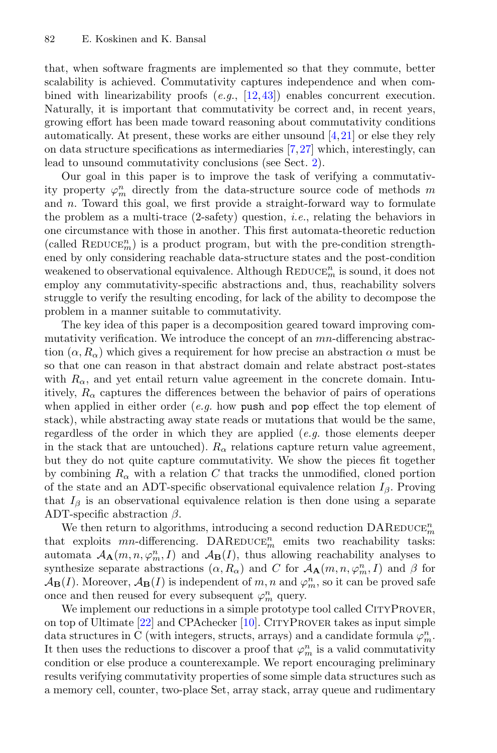that, when software fragments are implemented so that they commute, better scalability is achieved. Commutativity captures independence and when combined with linearizability proofs (*e.g.*, [\[12](#page-20-1),[43\]](#page-22-3)) enables concurrent execution. Naturally, it is important that commutativity be correct and, in recent years, growing effort has been made toward reasoning about commutativity conditions automatically. At present, these works are either unsound  $[4,21]$  $[4,21]$  or else they rely on data structure specifications as intermediaries [\[7](#page-20-3)[,27](#page-21-8)] which, interestingly, can lead to unsound commutativity conclusions (see Sect. [2\)](#page-2-0).

Our goal in this paper is to improve the task of verifying a commutativity property  $\varphi_m^n$  directly from the data-structure source code of methods  $m$ and  $n$ . Toward this goal, we first provide a straight-forward way to formulate the problem as a multi-trace (2-safety) question, *i.e.*, relating the behaviors in one circumstance with those in another. This first automata-theoretic reduction (called  $\mathrm{REDUCE}_m^n)$  is a product program, but with the pre-condition strengthened by only considering reachable data-structure states and the post-condition weakened to observational equivalence. Although  $\mathrm{REDuce}^n_m$  is sound, it does not employ any commutativity-specific abstractions and, thus, reachability solvers struggle to verify the resulting encoding, for lack of the ability to decompose the problem in a manner suitable to commutativity.

The key idea of this paper is a decomposition geared toward improving commutativity verification. We introduce the concept of an mn-differencing abstraction  $(\alpha, R_{\alpha})$  which gives a requirement for how precise an abstraction  $\alpha$  must be so that one can reason in that abstract domain and relate abstract post-states with  $R_{\alpha}$ , and yet entail return value agreement in the concrete domain. Intuitively,  $R_{\alpha}$  captures the differences between the behavior of pairs of operations when applied in either order (*e.g.* how push and pop effect the top element of stack), while abstracting away state reads or mutations that would be the same, regardless of the order in which they are applied (*e.g.* those elements deeper in the stack that are untouched).  $R_{\alpha}$  relations capture return value agreement, but they do not quite capture commutativity. We show the pieces fit together by combining  $R_{\alpha}$  with a relation C that tracks the unmodified, cloned portion of the state and an ADT-specific observational equivalence relation  $I_\beta$ . Proving that  $I_\beta$  is an observational equivalence relation is then done using a separate ADT-specific abstraction  $\beta$ .

We then return to algorithms, introducing a second reduction  $\text{DAREDuce}_{m}^{n}$ that exploits  $mn$ -differencing. DAREDUCE<sup>n</sup><sub>m</sub> emits two reachability tasks: automata  $A_{\mathbf{A}}(m, n, \varphi_m^n, I)$  and  $A_{\mathbf{B}}(I)$ , thus allowing reachability analyses to synthesize separate abstractions  $(\alpha, R_{\alpha})$  and C for  $\mathcal{A}_{\mathbf{A}}(m, n, \varphi_m^n, I)$  and  $\beta$  for  $\mathcal{A}_{\mathbf{B}}(I)$ . Moreover,  $\mathcal{A}_{\mathbf{B}}(I)$  is independent of  $m, n$  and  $\varphi_m^n$ , so it can be proved safe once and then reused for every subsequent  $\varphi_m^n$  query.

We implement our reductions in a simple prototype tool called CITYPROVER, on top of Ultimate  $[22]$  and CPAchecker  $[10]$  $[10]$ . CITYPROVER takes as input simple data structures in C (with integers, structs, arrays) and a candidate formula  $\varphi_m^n$ . It then uses the reductions to discover a proof that  $\varphi_m^n$  is a valid commutativity condition or else produce a counterexample. We report encouraging preliminary results verifying commutativity properties of some simple data structures such as a memory cell, counter, two-place Set, array stack, array queue and rudimentary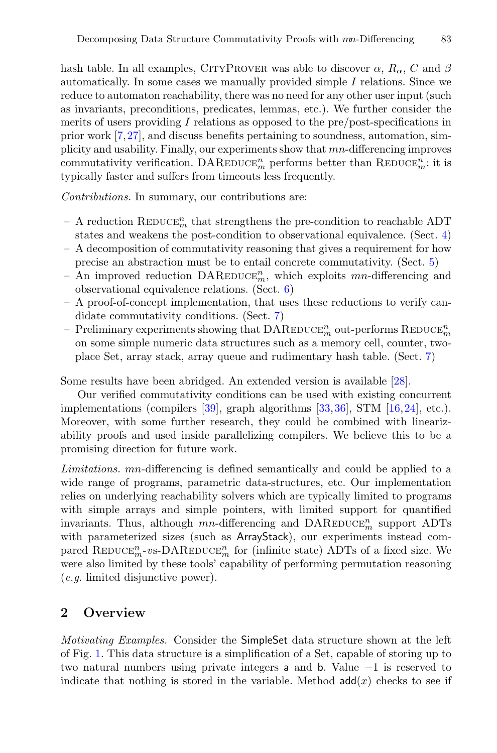hash table. In all examples, CITYPROVER was able to discover  $\alpha$ ,  $R_{\alpha}$ , C and  $\beta$ automatically. In some cases we manually provided simple I relations. Since we reduce to automaton reachability, there was no need for any other user input (such as invariants, preconditions, predicates, lemmas, etc.). We further consider the merits of users providing I relations as opposed to the pre/post-specifications in prior work [\[7,](#page-20-3)[27](#page-21-8)], and discuss benefits pertaining to soundness, automation, simplicity and usability. Finally, our experiments show that mn-differencing improves commutativity verification. DAREDUCE<sup>n</sup><sub>m</sub> performs better than REDUCE<sup>n</sup><sub>m</sub>: it is typically faster and suffers from timeouts less frequently.

*Contributions.* In summary, our contributions are:

- A reduction  $\mathrm{REDUCE}^n_m$  that strengthens the pre-condition to reachable ADT states and weakens the post-condition to observational equivalence. (Sect. [4\)](#page-8-0)
- A decomposition of commutativity reasoning that gives a requirement for how precise an abstraction must be to entail concrete commutativity. (Sect. [5\)](#page-10-0)
- An improved reduction  $\text{DAREDuce}_m^n$ , which exploits mn-differencing and observational equivalence relations. (Sect. [6\)](#page-14-0)
- A proof-of-concept implementation, that uses these reductions to verify candidate commutativity conditions. (Sect. [7\)](#page-15-0)
- Preliminary experiments showing that  $\text{DAREDuce}_{m}^{n}$  out-performs  $\text{REDuce}_{m}^{n}$ on some simple numeric data structures such as a memory cell, counter, twoplace Set, array stack, array queue and rudimentary hash table. (Sect. [7\)](#page-15-0)

Some results have been abridged. An extended version is available [\[28](#page-21-10)].

Our verified commutativity conditions can be used with existing concurrent implementations (compilers [\[39\]](#page-22-0), graph algorithms [\[33](#page-22-1),[36\]](#page-22-2), STM [\[16](#page-21-0),[24\]](#page-21-1), etc.). Moreover, with some further research, they could be combined with linearizability proofs and used inside parallelizing compilers. We believe this to be a promising direction for future work.

*Limitations.* mn-differencing is defined semantically and could be applied to a wide range of programs, parametric data-structures, etc. Our implementation relies on underlying reachability solvers which are typically limited to programs with simple arrays and simple pointers, with limited support for quantified invariants. Thus, although  $mn$ -differencing and  $\text{DAREDuce}_{m}^{n}$  support ADTs with parameterized sizes (such as ArrayStack), our experiments instead compared REDUCE<sup>n</sup><sub>m</sub>-vs-DAREDUCE<sup>n</sup><sub>m</sub> for (infinite state) ADTs of a fixed size. We were also limited by these tools' capability of performing permutation reasoning (*e.g.* limited disjunctive power).

# <span id="page-2-0"></span>**2 Overview**

*Motivating Examples.* Consider the SimpleSet data structure shown at the left of Fig. [1.](#page-3-0) This data structure is a simplification of a Set, capable of storing up to two natural numbers using private integers a and b. Value −1 is reserved to indicate that nothing is stored in the variable. Method  $add(x)$  checks to see if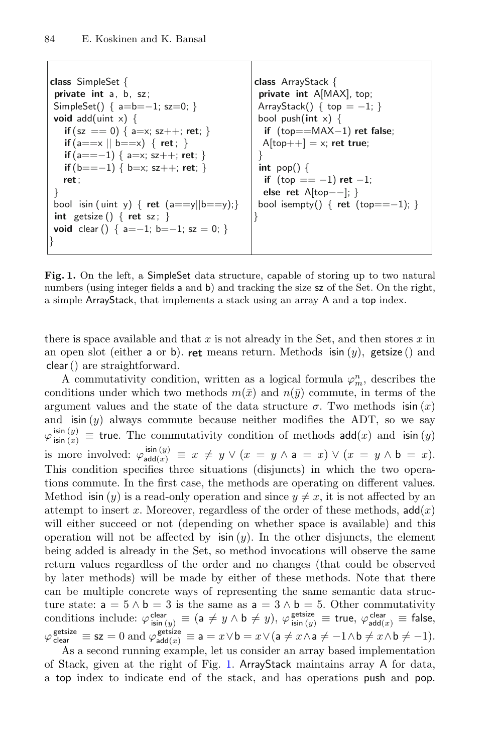```
class SimpleSet {
private int a, b, sz;
SimpleSet() { a=b=−1; sz=0; }
void add(uint x) {
   if (sz == 0) { a=x; sz++; ret; }
   if (a==x || b==x) { ret ; }
   if (a==−1) { a=x; sz++; ret; }
   if (b==−1) { b=x; sz++; ret; }
  ret ;
}
bool isin ( uint y) \{ ret (a == y || b == y);int getsize () { ret sz; }
void clear () { a=−1; b=−1; sz = 0; }
}
                                             class ArrayStack {
                                              private int A[MAX], top;
                                              ArrayStack() { top = −1; }
                                              bool push(int x) {
                                               if (top==MAX−1) ret false;
                                               A[top++] = x; ret true;
                                              }
int pop() {
                                               if (top == −1) ret −1;
                                               else ret A[top−−]; }
                                              bool isempty() { ret (top==−1); }
                                             }
```
<span id="page-3-0"></span>Fig. 1. On the left, a SimpleSet data structure, capable of storing up to two natural numbers (using integer fields a and b) and tracking the size  $sz$  of the Set. On the right, a simple ArrayStack, that implements a stack using an array A and a top index.

there is space available and that x is not already in the Set, and then stores  $x$  in an open slot (either a or b). **ret** means return. Methods  $\sin(y)$ , getsize () and clear() are straightforward.

A commutativity condition, written as a logical formula  $\varphi_m^n$ , describes the conditions under which two methods  $m(\bar{x})$  and  $n(\bar{y})$  commute, in terms of the argument values and the state of the data structure  $\sigma$ . Two methods is in  $(x)$ and  $\sin(y)$  always commute because neither modifies the ADT, so we say  $\varphi_{\textsf{isin }(x)}^{\textsf{isin }(y)} \equiv$  true. The commutativity condition of methods  $\textsf{add}(x)$  and  $\textsf{isin }(y)$ is more involved:  $\varphi_{\text{add}(x)}^{\text{isin}(y)} \equiv x \neq y \lor (x = y \land a = x) \lor (x = y \land b = x).$ This condition specifies three situations (disjuncts) in which the two operations commute. In the first case, the methods are operating on different values. Method is in  $(y)$  is a read-only operation and since  $y \neq x$ , it is not affected by an attempt to insert x. Moreover, regardless of the order of these methods,  $\mathsf{add}(x)$ will either succeed or not (depending on whether space is available) and this operation will not be affected by  $\sin(y)$ . In the other disjuncts, the element being added is already in the Set, so method invocations will observe the same return values regardless of the order and no changes (that could be observed by later methods) will be made by either of these methods. Note that there can be multiple concrete ways of representing the same semantic data structure state:  $a = 5 \land b = 3$  is the same as  $a = 3 \land b = 5$ . Other commutativity conditions include:  $\varphi_{\sf isin \, (y)}^{\sf clear} \equiv (\mathsf{a} \neq y \land \mathsf{b} \neq y), \, \varphi_{\sf isin \, (y)}^{\sf getsize} \equiv \mathsf{true}, \, \varphi_{\sf add(x)}^{\sf clear} \equiv \mathsf{false},$  $\varphi_{\text{clear}}^{\text{getsize}} \equiv \textsf{s} \textsf{z} = 0 \text{ and } \varphi_{\textsf{add}(x)}^{\textsf{getsize}} \equiv \textsf{a} = x \vee \textsf{b} = x \vee (\textsf{a} \neq x \wedge \textsf{a} \neq -1 \wedge \textsf{b} \neq x \wedge \textsf{b} \neq -1).$ 

As a second running example, let us consider an array based implementation of Stack, given at the right of Fig. [1.](#page-3-0) ArrayStack maintains array A for data, a top index to indicate end of the stack, and has operations push and pop.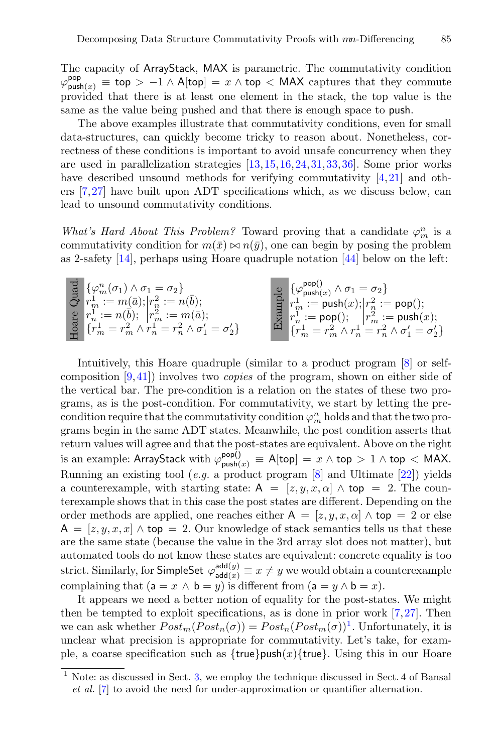The capacity of ArrayStack, MAX is parametric. The commutativity condition  $\varphi_{\textsf{push}(x)}^{\textsf{pop}} \equiv \textsf{top} > -1 \land \mathsf{A}[\textsf{top}] = x \land \textsf{top} < \mathsf{MAX}$  captures that they commute provided that there is at least one element in the stack, the top value is the same as the value being pushed and that there is enough space to push.

The above examples illustrate that commutativity conditions, even for small data-structures, can quickly become tricky to reason about. Nonetheless, correctness of these conditions is important to avoid unsafe concurrency when they are used in parallelization strategies [\[13](#page-20-0),[15,](#page-21-6)[16,](#page-21-0)[24](#page-21-1)[,31,](#page-21-5)[33](#page-22-1)[,36](#page-22-2)]. Some prior works have described unsound methods for verifying commutativity  $[4,21]$  $[4,21]$  $[4,21]$  and others [\[7](#page-20-3)[,27](#page-21-8)] have built upon ADT specifications which, as we discuss below, can lead to unsound commutativity conditions.

*What's Hard About This Problem?* Toward proving that a candidate  $\varphi_m^n$  is a commutativity condition for  $m(\bar{x}) \bowtie n(\bar{y})$ , one can begin by posing the problem as 2-safety [\[14](#page-20-5)], perhaps using Hoare quadruple notation [\[44\]](#page-22-4) below on the left:

$$
\begin{array}{ll} \mathbb{E}\left\{\varphi_{m}^{n}(\sigma_{1})\wedge\sigma_{1}=\sigma_{2}\right\} & \mathbb{E}\left\{\varphi_{\mathrm{push}(x)}^{\mathrm{pop}}\wedge\sigma_{1}=\sigma_{2}\right\} \\ r_{m}^{1}:=m(\bar{a});\left|r_{n}^{2}:=n(\bar{b});\right.\\ \mathbb{E}\left\{r_{m}^{1}=r_{m}^{2}\wedge r_{n}^{1}=r_{n}^{2}\wedge\sigma_{1}^{\prime}=\sigma_{2}^{\prime}\right\} & \mathbb{E}\left\{r_{m}^{1}:=\mathrm{pop}(\mathbf{1});\left|r_{n}^{2}:=\mathrm{pop}(\mathbf{1});\right.\right.\\ \left.\left\{\mathbf{r}_{m}^{1}=\mathbf{r}_{m}^{2}\wedge\sigma_{1}^{\prime}=\mathbf{r}_{n}^{2}\wedge\sigma_{1}^{\prime}=\sigma_{2}^{\prime}\right\} & \mathbb{E}\left\{r_{m}^{1}:=\mathrm{pop}(\mathbf{1});\left|r_{m}^{2}:=\mathrm{push}(x);\right.\right.\\ \left.\left.\left\{\mathbf{r}_{m}^{1}=\mathbf{r}_{m}^{2}\wedge\mathbf{r}_{n}^{1}=\mathbf{r}_{n}^{2}\wedge\sigma_{1}^{\prime}=\sigma_{2}^{\prime}\right\}\right. & \mathbb{E}\left\{\mathbf{r}_{m}^{1}=\mathbf{r}_{m}^{2}\wedge\mathbf{r}_{n}^{1}=\mathbf{r}_{n}^{2}\wedge\sigma_{1}^{\prime}=\sigma_{2}^{\prime}\right\}\end{array}
$$

Intuitively, this Hoare quadruple (similar to a product program [\[8](#page-20-6)] or selfcomposition [\[9](#page-20-7),[41\]](#page-22-5)) involves two *copies* of the program, shown on either side of the vertical bar. The pre-condition is a relation on the states of these two programs, as is the post-condition. For commutativity, we start by letting the precondition require that the commutativity condition  $\varphi_m^n$  holds and that the two programs begin in the same ADT states. Meanwhile, the post condition asserts that return values will agree and that the post-states are equivalent. Above on the right is an example: ArrayStack with  $\varphi^{\mathsf{pop}()}_{\mathsf{push}(x)}\equiv \mathsf{A}[\mathsf{top}]\,=\,x\wedge\mathsf{top}\,>\,1\wedge\mathsf{top}\,<\,\mathsf{MAX}.$ Running an existing tool (*e.g.* a product program [\[8](#page-20-6)] and Ultimate [\[22](#page-21-9)]) yields a counterexample, with starting state:  $A = [z, y, x, \alpha] \wedge$  top = 2. The counterexample shows that in this case the post states are different. Depending on the order methods are applied, one reaches either  $A = [z, y, x, \alpha] \wedge$  top = 2 or else  $A = [z, y, x, x] \wedge$  top = 2. Our knowledge of stack semantics tells us that these are the same state (because the value in the 3rd array slot does not matter), but automated tools do not know these states are equivalent: concrete equality is too strict. Similarly, for SimpleSet  $\varphi_{\mathsf{add}(x)}^{\mathsf{add}(y)} \equiv x \neq y$  we would obtain a counterexample complaining that  $(a = x \land b = y)$  is different from  $(a = y \land b = x)$ .

It appears we need a better notion of equality for the post-states. We might then be tempted to exploit specifications, as is done in prior work [\[7,](#page-20-3)[27\]](#page-21-8). Then we can ask whether  $Post_m(Post_n(\sigma)) = Post_n(Post_m(\sigma))^1$  $Post_m(Post_n(\sigma)) = Post_n(Post_m(\sigma))^1$ . Unfortunately, it is unclear what precision is appropriate for commutativity. Let's take, for example, a coarse specification such as  ${true}$ push $(x){true}$ . Using this in our Hoare

<span id="page-4-0"></span> $1$  Note: as discussed in Sect. [3,](#page-7-0) we employ the technique discussed in Sect. 4 of Bansal *et al.* [\[7](#page-20-3)] to avoid the need for under-approximation or quantifier alternation.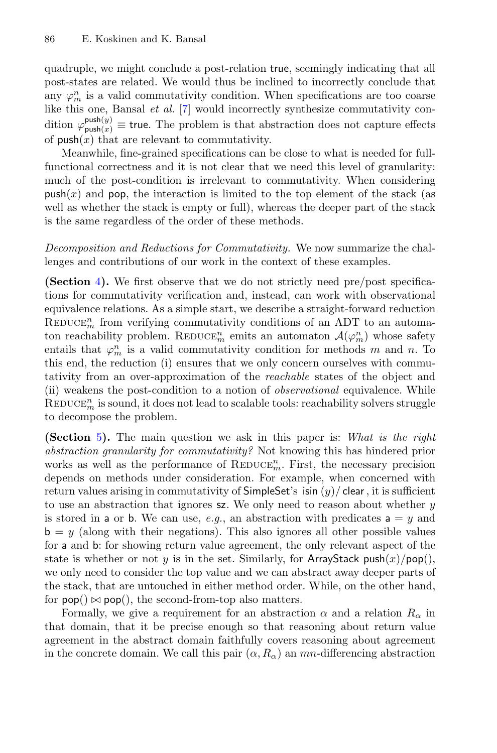quadruple, we might conclude a post-relation true, seemingly indicating that all post-states are related. We would thus be inclined to incorrectly conclude that any  $\varphi_m^n$  is a valid commutativity condition. When specifications are too coarse like this one, Bansal *et al.* [\[7](#page-20-3)] would incorrectly synthesize commutativity condition  $\varphi_{\text{push}(x)}^{\text{push}(y)} \equiv \text{true}$ . The problem is that abstraction does not capture effects of  $\text{push}(x)$  that are relevant to commutativity.

Meanwhile, fine-grained specifications can be close to what is needed for fullfunctional correctness and it is not clear that we need this level of granularity: much of the post-condition is irrelevant to commutativity. When considering  $\text{push}(x)$  and pop, the interaction is limited to the top element of the stack (as well as whether the stack is empty or full), whereas the deeper part of the stack is the same regardless of the order of these methods.

*Decomposition and Reductions for Commutativity.* We now summarize the challenges and contributions of our work in the context of these examples.

**(Section** [4](#page-8-0)**).** We first observe that we do not strictly need pre/post specifications for commutativity verification and, instead, can work with observational equivalence relations. As a simple start, we describe a straight-forward reduction  $\mathrm{REDuce}_{m}^{n}$  from verifying commutativity conditions of an ADT to an automaton reachability problem. REDUCE<sup>n</sup> emits an automaton  $\mathcal{A}(\varphi_m^n)$  whose safety entails that  $\varphi_m^n$  is a valid commutativity condition for methods m and n. To this end, the reduction (i) ensures that we only concern ourselves with commutativity from an over-approximation of the *reachable* states of the object and (ii) weakens the post-condition to a notion of *observational* equivalence. While  $\mathrm{REDuce}_{m}^{n}$  is sound, it does not lead to scalable tools: reachability solvers struggle to decompose the problem.

**(Section** [5](#page-10-0)**).** The main question we ask in this paper is: *What is the right abstraction granularity for commutativity?* Not knowing this has hindered prior works as well as the performance of  $\mathrm{REDUCE}_m^n$ . First, the necessary precision depends on methods under consideration. For example, when concerned with return values arising in commutativity of SimpleSet's isin  $(y)$  clear, it is sufficient to use an abstraction that ignores  $\boldsymbol{z}$ . We only need to reason about whether y is stored in a or b. We can use,  $e.g.,$  an abstraction with predicates  $a = y$  and  $b = y$  (along with their negations). This also ignores all other possible values for a and b: for showing return value agreement, the only relevant aspect of the state is whether or not y is in the set. Similarly, for ArrayStack push $(x)/p$ op $($ ), we only need to consider the top value and we can abstract away deeper parts of the stack, that are untouched in either method order. While, on the other hand, for  $\mathsf{pop}() \bowtie \mathsf{pop}()$ , the second-from-top also matters.

Formally, we give a requirement for an abstraction  $\alpha$  and a relation  $R_{\alpha}$  in that domain, that it be precise enough so that reasoning about return value agreement in the abstract domain faithfully covers reasoning about agreement in the concrete domain. We call this pair  $(\alpha, R_{\alpha})$  an mn-differencing abstraction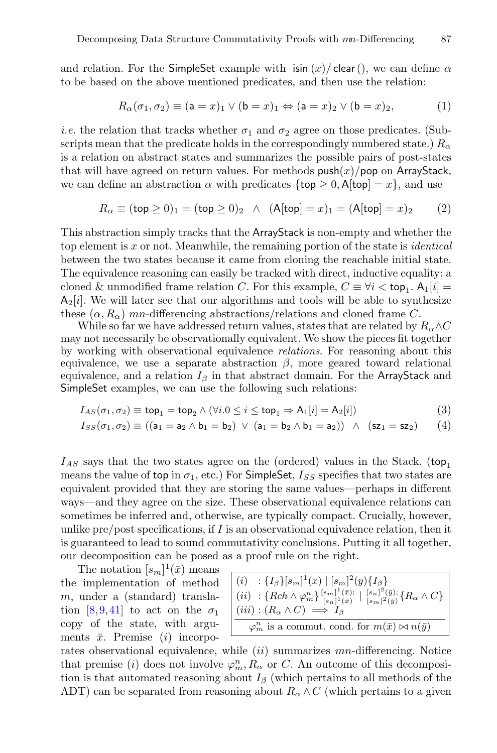and relation. For the SimpleSet example with isin  $(x)/$  clear(), we can define  $\alpha$ to be based on the above mentioned predicates, and then use the relation:

$$
R_{\alpha}(\sigma_1, \sigma_2) \equiv (a = x)_1 \vee (b = x)_1 \Leftrightarrow (a = x)_2 \vee (b = x)_2, \tag{1}
$$

*i.e.* the relation that tracks whether  $\sigma_1$  and  $\sigma_2$  agree on those predicates. (Subscripts mean that the predicate holds in the correspondingly numbered state.)  $R_{\alpha}$ is a relation on abstract states and summarizes the possible pairs of post-states that will have agreed on return values. For methods  $push(x)/pop$  on ArrayStack, we can define an abstraction  $\alpha$  with predicates  $\{\text{top } \geq 0, \mathsf{A}[\text{top}] = x\}$ , and use

$$
R_{\alpha} \equiv (\text{top} \ge 0)_{1} = (\text{top} \ge 0)_{2} \quad \wedge \quad (\text{A}[\text{top}] = x)_{1} = (\text{A}[\text{top}] = x)_{2} \tag{2}
$$

This abstraction simply tracks that the ArrayStack is non-empty and whether the top element is x or not. Meanwhile, the remaining portion of the state is *identical* between the two states because it came from cloning the reachable initial state. The equivalence reasoning can easily be tracked with direct, inductive equality: a cloned & unmodified frame relation C. For this example,  $C \equiv \forall i < \text{top}_1$ .  $A_1[i] =$  $A_2[i]$ . We will later see that our algorithms and tools will be able to synthesize these  $(\alpha, R_{\alpha})$  mn-differencing abstractions/relations and cloned frame C.

While so far we have addressed return values, states that are related by  $R_{\alpha} \wedge C$ may not necessarily be observationally equivalent. We show the pieces fit together by working with observational equivalence *relations*. For reasoning about this equivalence, we use a separate abstraction  $\beta$ , more geared toward relational equivalence, and a relation  $I_\beta$  in that abstract domain. For the ArrayStack and SimpleSet examples, we can use the following such relations:

$$
I_{AS}(\sigma_1, \sigma_2) \equiv \text{top}_1 = \text{top}_2 \land (\forall i. 0 \le i \le \text{top}_1 \Rightarrow A_1[i] = A_2[i])
$$
\n(3)

$$
I_{SS}(\sigma_1, \sigma_2) \equiv ((a_1 = a_2 \land b_1 = b_2) \lor (a_1 = b_2 \land b_1 = a_2)) \land (sz_1 = sz_2) \qquad (4)
$$

 $I_{AS}$  says that the two states agree on the (ordered) values in the Stack. (top<sub>1</sub> means the value of top in  $\sigma_1$ , etc.) For SimpleSet,  $I_{SS}$  specifies that two states are equivalent provided that they are storing the same values—perhaps in different ways—and they agree on the size. These observational equivalence relations can sometimes be inferred and, otherwise, are typically compact. Crucially, however, unlike pre/post specifications, if  $I$  is an observational equivalence relation, then it is guaranteed to lead to sound commutativity conclusions. Putting it all together, our decomposition can be posed as a proof rule on the right.

The notation  $[s_m]^1(\bar{x})$  means the implementation of method m, under a (standard) transla-tion [\[8](#page-20-6),[9,](#page-20-7)[41\]](#page-22-5) to act on the  $\sigma_1$ copy of the state, with arguments  $\bar{x}$ . Premise (*i*) incorpo-

<span id="page-6-0"></span>

| $ (i) : \{I_{\beta}\}[s_m]^1(\bar{x}) \mid [s_m]^2(\bar{y})\{I_{\beta}\}]$<br>$\left[ (ii) : \{Rch \wedge \varphi_m^n\}_{[s_n]^{1}(\bar{x})}^{[s_m]^{1}(\bar{x});} \left[ \frac{[s_n]^{2}(\bar{y})}{[s_m]^{2}(\bar{y})} \{R_{\alpha} \wedge C\} \right] \right]$<br>$(iii) : (R_{\alpha} \wedge C) \implies I_{\beta}$ |
|------------------------------------------------------------------------------------------------------------------------------------------------------------------------------------------------------------------------------------------------------------------------------------------------------------------------|
| $\varphi_m^n$ is a commut. cond. for $m(\bar{x}) \bowtie n(\bar{y})$                                                                                                                                                                                                                                                   |

rates observational equivalence, while  $(ii)$  summarizes mn-differencing. Notice that premise (*i*) does not involve  $\varphi_m^n$ ,  $R_\alpha$  or C. An outcome of this decomposition is that automated reasoning about  $I_\beta$  (which pertains to all methods of the ADT) can be separated from reasoning about  $R_{\alpha} \wedge C$  (which pertains to a given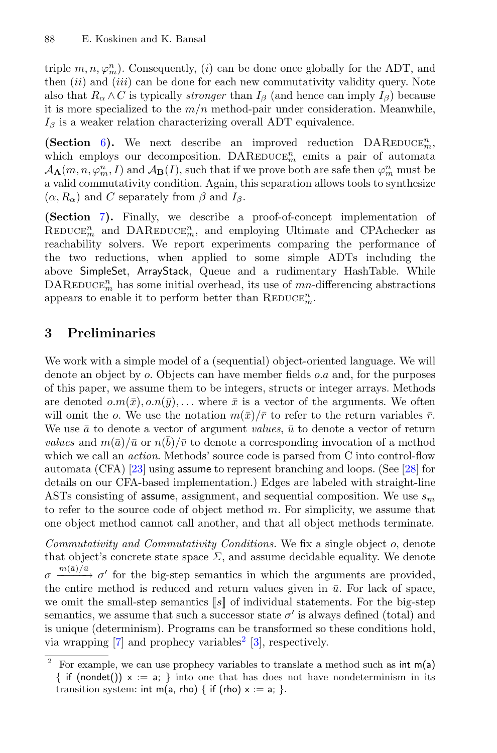triple  $m, n, \varphi_m^n$ ). Consequently, (*i*) can be done once globally for the ADT, and then  $(ii)$  and  $(iii)$  can be done for each new commutativity validity query. Note also that  $R_{\alpha} \wedge C$  is typically *stronger* than  $I_{\beta}$  (and hence can imply  $I_{\beta}$ ) because it is more specialized to the  $m/n$  method-pair under consideration. Meanwhile,  $I_\beta$  is a weaker relation characterizing overall ADT equivalence.

**(Section** [6](#page-14-0)). We next describe an improved reduction  $\text{DAREDuce}_{m}^{n}$ , which employs our decomposition.  $\text{DAREDuce}_{m}^{n}$  emits a pair of automata  $A_{\mathbf{A}}(m, n, \varphi_m^n, I)$  and  $A_{\mathbf{B}}(I)$ , such that if we prove both are safe then  $\varphi_m^n$  must be a valid commutativity condition. Again, this separation allows tools to synthesize  $(\alpha, R_{\alpha})$  and C separately from  $\beta$  and  $I_{\beta}$ .

**(Section** [7](#page-15-0)**).** Finally, we describe a proof-of-concept implementation of  $\mathrm{REDuce}_{m}^{n}$  and  $\mathrm{DAREDuce}_{m}^{n}$ , and employing Ultimate and CPAchecker as reachability solvers. We report experiments comparing the performance of the two reductions, when applied to some simple ADTs including the above SimpleSet, ArrayStack, Queue and a rudimentary HashTable. While  $\mathrm{DAREDuce}_{m}^{n}$  has some initial overhead, its use of  $mn\text{-differencing abstractions}$ appears to enable it to perform better than  $\mathrm{REDUCE}_m^n$ .

# <span id="page-7-0"></span>**3 Preliminaries**

We work with a simple model of a (sequential) object-oriented language. We will denote an object by  $\rho$ . Objects can have member fields  $\rho.a$  and, for the purposes of this paper, we assume them to be integers, structs or integer arrays. Methods are denoted  $o.m(\bar{x}), o.n(\bar{y}),...$  where  $\bar{x}$  is a vector of the arguments. We often will omit the o. We use the notation  $m(\bar{x})/\bar{r}$  to refer to the return variables  $\bar{r}$ . We use  $\bar{a}$  to denote a vector of argument *values*,  $\bar{u}$  to denote a vector of return *values* and  $m(\bar{a})/\bar{u}$  or  $n(b)/\bar{v}$  to denote a corresponding invocation of a method which we call an *action*. Methods' source code is parsed from C into control-flow automata (CFA) [\[23](#page-21-11)] using assume to represent branching and loops. (See [\[28](#page-21-10)] for details on our CFA-based implementation.) Edges are labeled with straight-line ASTs consisting of assume, assignment, and sequential composition. We use  $s_m$ to refer to the source code of object method  $m$ . For simplicity, we assume that one object method cannot call another, and that all object methods terminate.

*Commutativity and Commutativity Conditions.* We fix a single object o, denote that object's concrete state space  $\Sigma$ , and assume decidable equality. We denote  $\sigma \frac{m(\bar{a})/\bar{u}}{\sigma'} \sigma'$  for the big-step semantics in which the arguments are provided, the entire method is reduced and return values given in  $\bar{u}$ . For lack of space, we omit the small-step semantics  $\llbracket s \rrbracket$  of individual statements. For the big-step semantics, we assume that such a successor state  $\sigma'$  is always defined (total) and is unique (determinism). Programs can be transformed so these conditions hold, via wrapping  $[7]$  $[7]$  and prophecy variables<sup>[2](#page-7-1)</sup>  $[3]$  $[3]$ , respectively.

<span id="page-7-1"></span>For example, we can use prophecy variables to translate a method such as  $\text{int } m(a)$ { if (nondet())  $x := a$ ; } into one that has does not have nondeterminism in its transition system: int m(a, rho) { if (rho)  $x := a$ ; }.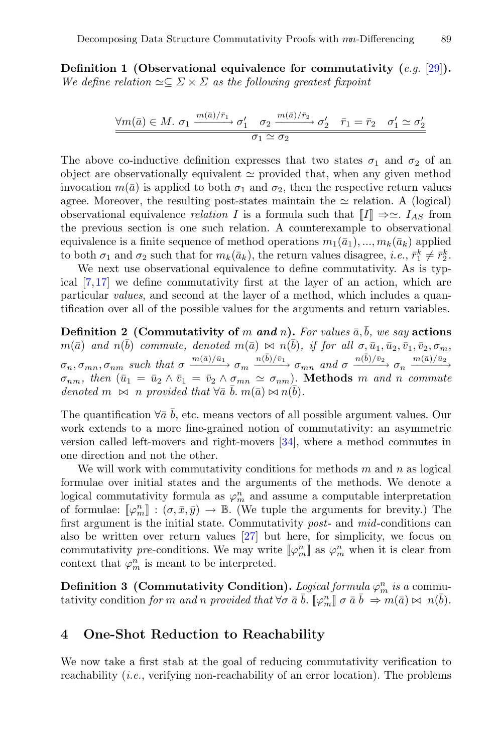**Definition 1 (Observational equivalence for commutativity (***e.g.* [\[29\]](#page-21-2)**).** We define relation  $\simeq \subseteq \Sigma \times \Sigma$  *as the following greatest fixpoint* 

$$
\frac{\forall m(\bar{a}) \in M. \space \sigma_1 \xrightarrow{m(\bar{a})/\bar{r}_1} \sigma'_1 \quad \sigma_2 \xrightarrow{m(\bar{a})/\bar{r}_2} \sigma'_2 \quad \bar{r}_1 = \bar{r}_2 \quad \sigma'_1 \simeq \sigma'_2}{\sigma_1 \simeq \sigma_2}
$$

The above co-inductive definition expresses that two states  $\sigma_1$  and  $\sigma_2$  of an object are observationally equivalent  $\simeq$  provided that, when any given method invocation  $m(\bar{a})$  is applied to both  $\sigma_1$  and  $\sigma_2$ , then the respective return values agree. Moreover, the resulting post-states maintain the  $\simeq$  relation. A (logical) observational equivalence *relation* I is a formula such that  $\llbracket I \rrbracket \Rightarrow \simeq I_{AS}$  from the previous section is one such relation. A counterexample to observational equivalence is a finite sequence of method operations  $m_1(\bar{a}_1), ..., m_k(\bar{a}_k)$  applied to both  $\sigma_1$  and  $\sigma_2$  such that for  $m_k(\bar{a}_k)$ , the return values disagree, *i.e.*,  $\bar{r}_1^k \neq \bar{r}_2^k$ .

We next use observational equivalence to define commutativity. As is typical [\[7,](#page-20-3)[17\]](#page-21-4) we define commutativity first at the layer of an action, which are particular *values*, and second at the layer of a method, which includes a quantification over all of the possible values for the arguments and return variables.

**Definition 2** (Commutativity of m and n). For values  $\bar{a}$ ,  $\bar{b}$ *, we say* actions  $m(\bar{a})$  *and*  $n(\bar{b})$  *commute, denoted*  $m(\bar{a}) \bowtie n(\bar{b})$ *, if for all*  $\sigma, \bar{u}_1, \bar{u}_2, \bar{v}_1, \bar{v}_2, \sigma_m$ ,  $\sigma_n, \sigma_{mn}, \sigma_{nm}$  such that  $\sigma \xrightarrow{m(\bar{a})/\bar{u}_1} \sigma_m \xrightarrow{n(\bar{b})/\bar{v}_1} \sigma_{mn}$  and  $\sigma \xrightarrow{n(\bar{b})/\bar{v}_2} \sigma_n \xrightarrow{m(\bar{a})/\bar{u}_2}$  $\sigma_{nm}$ , then  $(\bar{u}_1 = \bar{u}_2 \wedge \bar{v}_1 = \bar{v}_2 \wedge \sigma_{mn} \simeq \sigma_{nm})$ . **Methods** m and n commute *denoted*  $m \bowtie n$  *provided that*  $\forall \bar{a} \ \bar{b} \ldots m(\bar{a}) \bowtie n(\bar{b})$ *.* 

The quantification  $\forall \bar{a}$  b, etc. means vectors of all possible argument values. Our work extends to a more fine-grained notion of commutativity: an asymmetric version called left-movers and right-movers [\[34](#page-22-6)], where a method commutes in one direction and not the other.

We will work with commutativity conditions for methods  $m$  and  $n$  as logical formulae over initial states and the arguments of the methods. We denote a logical commutativity formula as  $\varphi_m^n$  and assume a computable interpretation of formulae:  $[\varphi_m^n] : (\sigma, \bar{x}, \bar{y}) \to \mathbb{B}$ . (We tuple the arguments for brevity.) The first argument is the initial state. Commutativity *post*- and *mid*-conditions can also be written over return values [\[27\]](#page-21-8) but here, for simplicity, we focus on commutativity *pre*-conditions. We may write  $[\![\varphi_m^n]\!]$  as  $\varphi_m^n$  when it is clear from context that  $\varphi_m^n$  is meant to be interpreted.

**Definition 3 (Commutativity Condition).** *Logical formula*  $\varphi_m^n$  *is a* commutativity condition *for* m and n provided that  $\forall \sigma \bar{a} \bar{b}$ .  $[\varphi_m^n] \sigma \bar{a} \bar{b} \Rightarrow m(\bar{a}) \bowtie n(\bar{b})$ *.* 

# <span id="page-8-0"></span>**4 One-Shot Reduction to Reachability**

We now take a first stab at the goal of reducing commutativity verification to reachability (*i.e.*, verifying non-reachability of an error location). The problems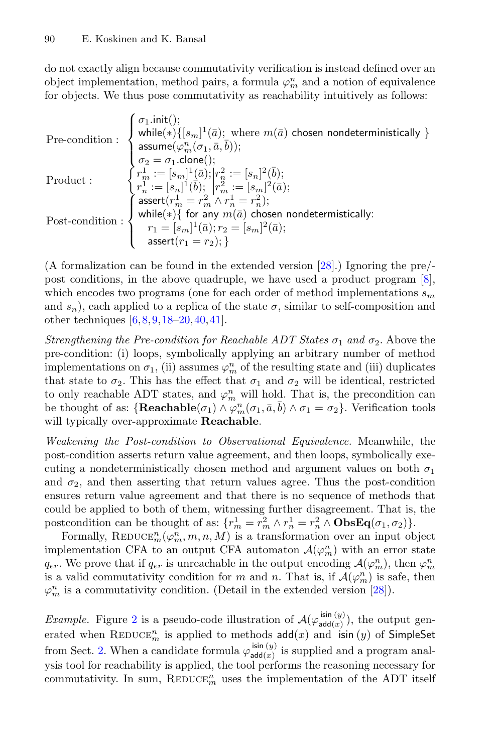do not exactly align because commutativity verification is instead defined over an object implementation, method pairs, a formula  $\varphi_m^n$  and a notion of equivalence for objects. We thus pose commutativity as reachability intuitively as follows:

$$
\begin{array}{ll}\n\text{Pre-condition}: & \left\{ \begin{array}{l}\n\text{while}(\ast)\{[s_m]^1(\bar{a}); \text{ where } m(\bar{a}) \text{ chosen nondeterministically }\} \\
\text{assume}(\varphi_m^n(\sigma_1, \bar{a}, \bar{b})); \\
\sigma_2 = \sigma_1.\text{clone}(); \\
r_m^1 := [s_m]^1(\bar{a}); |r_n^2 := [s_n]^2(\bar{b}); \\
r_n^1 := [s_n]^1(\bar{b}); |r_m^2 := [s_m]^2(\bar{a}); \\
r_n^1 := [s_n]^1(\bar{b}); |r_m^2 := [s_m]^2(\bar{a}); \\
\text{assert}(r_m^1 = r_m^2 \land r_n^1 = r_n^2);\n\end{array}\n\right\} \\
\text{Post-condition}: & \left\{ \begin{array}{l}\n\text{in}(\ast)\{ \text{ for any } m(\bar{a}) \text{ chosen nondeterministically } \} \\
r_1 = [s_m]^1(\bar{a}); r_2 = [s_m]^2(\bar{a}); \\
\text{assert}(r_1 = r_2);\n\end{array}\right\}\n\end{array}
$$

(A formalization can be found in the extended version [\[28](#page-21-10)].) Ignoring the pre/ post conditions, in the above quadruple, we have used a product program [\[8\]](#page-20-6), which encodes two programs (one for each order of method implementations  $s_m$ and  $s_n$ ), each applied to a replica of the state  $\sigma$ , similar to self-composition and other techniques [\[6,](#page-20-9)[8](#page-20-6)[,9](#page-20-7)[,18](#page-21-12)[–20](#page-21-13),[40,](#page-22-7)[41\]](#page-22-5).

*Strengthening the Pre-condition for Reachable ADT States*  $\sigma_1$  *and*  $\sigma_2$ . Above the pre-condition: (i) loops, symbolically applying an arbitrary number of method implementations on  $\sigma_1$ , (ii) assumes  $\varphi_m^n$  of the resulting state and (iii) duplicates that state to  $\sigma_2$ . This has the effect that  $\sigma_1$  and  $\sigma_2$  will be identical, restricted to only reachable ADT states, and  $\varphi_m^n$  will hold. That is, the precondition can be thought of as:  $\{\textbf{Reachable}(\sigma_1) \land \varphi_m^n(\sigma_1, \bar{a}, \bar{b}) \land \sigma_1 = \sigma_2\}$ . Verification tools will typically over-approximate **Reachable**.

*Weakening the Post-condition to Observational Equivalence.* Meanwhile, the post-condition asserts return value agreement, and then loops, symbolically executing a nondeterministically chosen method and argument values on both  $\sigma_1$ and  $\sigma_2$ , and then asserting that return values agree. Thus the post-condition ensures return value agreement and that there is no sequence of methods that could be applied to both of them, witnessing further disagreement. That is, the postcondition can be thought of as:  $\{r_m^1 = r_m^2 \wedge r_n^1 = r_n^2 \wedge \textbf{ObsEq}(\sigma_1, \sigma_2)\}.$ 

Formally, REDUCE<sup>n</sup><sub>n</sub>( $\varphi_m^n$ , m, n, M) is a transformation over an input object implementation CFA to an output CFA automaton  $\mathcal{A}(\varphi_m^n)$  with an error state  $q_{er}$ . We prove that if  $q_{er}$  is unreachable in the output encoding  $\mathcal{A}(\varphi_m^n)$ , then  $\varphi_m^n$ is a valid commutativity condition for m and n. That is, if  $\mathcal{A}(\varphi_m^n)$  is safe, then  $\varphi_m^n$  is a commutativity condition. (Detail in the extended version [\[28\]](#page-21-10)).

*Example.* Figure [2](#page-10-1) is a pseudo-code illustration of  $\mathcal{A}(\varphi_{\mathsf{add}(x)}^{\mathsf{isin}(y)})$ , the output generated when REDUCE<sup>n</sup> is applied to methods  $\text{add}(x)$  and isin  $(y)$  of SimpleSet from Sect. [2.](#page-2-0) When a candidate formula  $\varphi_{\text{add}(x)}^{\sin(y)}$  is supplied and a program analysis tool for reachability is applied, the tool performs the reasoning necessary for commutativity. In sum,  $\mathrm{REDUCE}^n_m$  uses the implementation of the ADT itself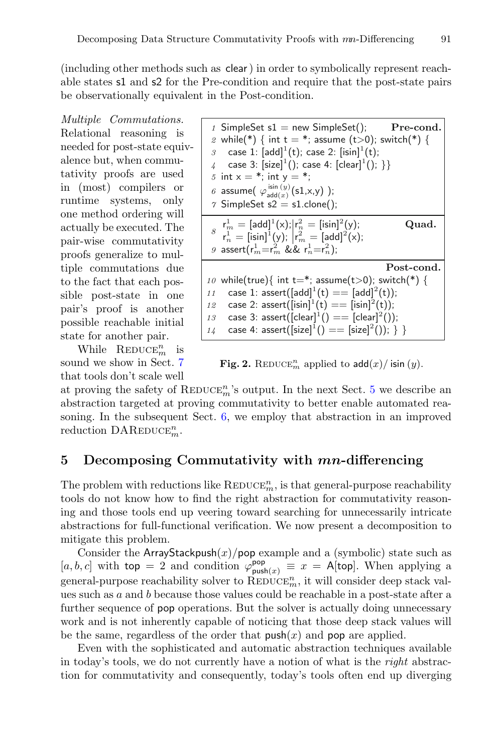(including other methods such as clear) in order to symbolically represent reachable states s1 and s2 for the Pre-condition and require that the post-state pairs be observationally equivalent in the Post-condition.

*Multiple Commutations.* Relational reasoning is needed for post-state equivalence but, when commutativity proofs are used in (most) compilers or runtime systems, only one method ordering will actually be executed. The pair-wise commutativity proofs generalize to multiple commutations due to the fact that each possible post-state in one pair's proof is another possible reachable initial state for another pair.

While  $\mathrm{REDUCE}_{m}^{n}$  is sound we show in Sect. [7](#page-15-0) that tools don't scale well

| 1 SimpleSet $s1$ = new SimpleSet();<br>$\operatorname{Pre-cond.}$<br>2 while(*) { int t = *; assume (t>0); switch(*) {<br>case 1: $[add]^1(t)$ ; case 2: $[isin]^1(t)$ ;<br>$\mathcal{S}$<br>case 3: $[size]^1()$ ; case 4: $[clear]^1()$ ; }}<br>5 int $x = *$ ; int $y = *$ ;<br>6 assume( $\varphi_{\text{add}(x)}^{\text{isin }(y)}(\text{s1,x,y})$ );<br>$\gamma$ SimpleSet s2 = s1.clone(); |
|---------------------------------------------------------------------------------------------------------------------------------------------------------------------------------------------------------------------------------------------------------------------------------------------------------------------------------------------------------------------------------------------------|
| $s \begin{cases} r_m^1 = [add]^1(x);  r_n^2 = [isin]^2(y); \\ r_n^1 = [isin]^1(y);  r_m^2 = [add]^2(x); \end{cases}$<br>Quad.<br>9 assert( $r_m^1 = r_m^2$ && $r_n^1 = r_n^2$ );                                                                                                                                                                                                                  |
| Post-cond.                                                                                                                                                                                                                                                                                                                                                                                        |
| while(true){ int t=*; assume(t>0); switch(*) {<br>10<br>case 1: assert([add] <sup>1</sup> (t) == [add] <sup>2</sup> (t));<br>11<br>case 2: assert( $[isin]^1(t) == [isin]^2(t)$ );<br>12<br>case 3: assert( $[clear]^1() == [clear]^2()$ );<br>13<br>case 4: assert( $[size]^1() == [size]^2()$ ; } }<br>14                                                                                       |

<span id="page-10-1"></span>Fig. 2. REDUCE<sup>n</sup> applied to  $\operatorname{add}(x)/\operatorname{isin}(y)$ .

at proving the safety of REDUCE<sup>n</sup>'s output. In the next Sect. [5](#page-10-0) we describe an abstraction targeted at proving commutativity to better enable automated reasoning. In the subsequent Sect. [6,](#page-14-0) we employ that abstraction in an improved reduction  $\mathrm{DAREDUCE}_{m}^{n}$ .

## <span id="page-10-0"></span>**5 Decomposing Commutativity with** *mn***-differencing**

The problem with reductions like  $\mathrm{REDUCE}_m^n$ , is that general-purpose reachability tools do not know how to find the right abstraction for commutativity reasoning and those tools end up veering toward searching for unnecessarily intricate abstractions for full-functional verification. We now present a decomposition to mitigate this problem.

Consider the ArrayStackpush $(x)/p$ op example and a (symbolic) state such as  $[a, b, c]$  with top = 2 and condition  $\varphi_{\text{push}(x)}^{\text{pop}} \equiv x = \text{A}[\text{top}].$  When applying a general-purpose reachability solver to  $\overline{\mathrm{REDUCE}}_m^n$ , it will consider deep stack values such as a and b because those values could be reachable in a post-state after a further sequence of pop operations. But the solver is actually doing unnecessary work and is not inherently capable of noticing that those deep stack values will be the same, regardless of the order that  $\text{push}(x)$  and  $\text{pop}$  are applied.

Even with the sophisticated and automatic abstraction techniques available in today's tools, we do not currently have a notion of what is the *right* abstraction for commutativity and consequently, today's tools often end up diverging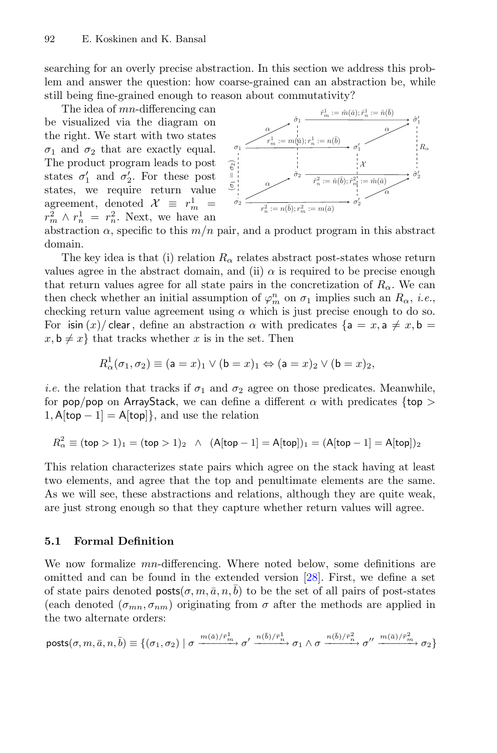searching for an overly precise abstraction. In this section we address this problem and answer the question: how coarse-grained can an abstraction be, while still being fine-grained enough to reason about commutativity?

The idea of mn-differencing can be visualized via the diagram on the right. We start with two states  $\sigma_1$  and  $\sigma_2$  that are exactly equal. The product program leads to post states  $\sigma_1'$  and  $\sigma_2'$ . For these post states, we require return value agreement, denoted  $\mathcal{X} \equiv r_m^1 =$  $r_m^2 \wedge r_n^1 = r_n^2$ . Next, we have an



abstraction  $\alpha$ , specific to this  $m/n$  pair, and a product program in this abstract domain.

The key idea is that (i) relation  $R_{\alpha}$  relates abstract post-states whose return values agree in the abstract domain, and (ii)  $\alpha$  is required to be precise enough that return values agree for all state pairs in the concretization of  $R_{\alpha}$ . We can then check whether an initial assumption of  $\varphi_m^n$  on  $\sigma_1$  implies such an  $R_\alpha$ , *i.e.*, checking return value agreement using  $\alpha$  which is just precise enough to do so. For isin  $(x)$  clear, define an abstraction  $\alpha$  with predicates  $\{a = x, a \neq x, b = x, c \}$  $x, \mathbf{b} \neq x$  that tracks whether x is in the set. Then

$$
R^1_\alpha(\sigma_1, \sigma_2) \equiv (\mathsf{a} = x)_1 \vee (\mathsf{b} = x)_1 \Leftrightarrow (\mathsf{a} = x)_2 \vee (\mathsf{b} = x)_2,
$$

*i.e.* the relation that tracks if  $\sigma_1$  and  $\sigma_2$  agree on those predicates. Meanwhile, for pop/pop on ArrayStack, we can define a different  $\alpha$  with predicates {top >  $1, \mathsf{A}$ [top  $-1$ ] =  $\mathsf{A}$ [top]}, and use the relation

$$
R_{\alpha}^{2} \equiv (\text{top} > 1)_{1} = (\text{top} > 1)_{2} \ \wedge \ (A[\text{top} - 1] = A[\text{top}])_{1} = (A[\text{top} - 1] = A[\text{top}])_{2}
$$

This relation characterizes state pairs which agree on the stack having at least two elements, and agree that the top and penultimate elements are the same. As we will see, these abstractions and relations, although they are quite weak, are just strong enough so that they capture whether return values will agree.

#### **5.1 Formal Definition**

We now formalize *mn*-differencing. Where noted below, some definitions are omitted and can be found in the extended version [\[28](#page-21-10)]. First, we define a set of state pairs denoted  $\text{posts}(\sigma, m, \bar{a}, n, \bar{b})$  to be the set of all pairs of post-states (each denoted  $(\sigma_{mn}, \sigma_{nm})$  originating from  $\sigma$  after the methods are applied in the two alternate orders:

$$
\text{posts}(\sigma,m,\bar{a},n,\bar{b})\equiv\{(\sigma_1,\sigma_2)\mid \sigma\xrightarrow{m(\bar{a})/\bar{r}_m^1}\sigma'\xrightarrow{n(\bar{b})/\bar{r}_n^1}\sigma_1\wedge\sigma\xrightarrow{n(\bar{b})/\bar{r}_n^2}\sigma''\xrightarrow{m(\bar{a})/\bar{r}_m^2}\sigma_2\}
$$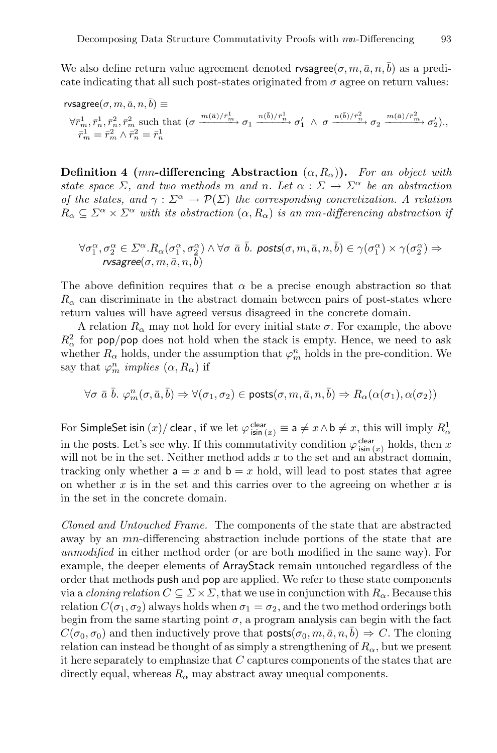We also define return value agreement denoted rvsagree( $\sigma$ ,  $m$ ,  $\bar{a}$ ,  $n$ ,  $\bar{b}$ ) as a predicate indicating that all such post-states originated from  $\sigma$  agree on return values:

$$
\begin{array}{l} \mathrm{ivsagree}(\sigma,m,\bar{a},n,\bar{b}) \equiv \\ \forall \bar{r}_m^1, \bar{r}_n^1, \bar{r}_n^2, \bar{r}_m^2 \; \mathrm{such} \; \mathrm{that} \; \big( \sigma \xrightarrow{m(\bar{a})/\bar{r}_m^1} \sigma_1 \xrightarrow{n(\bar{b})/\bar{r}_n^1} \sigma_1' \; \wedge \; \sigma \xrightarrow{n(\bar{b})/\bar{r}_n^2} \sigma_2 \xrightarrow{m(\bar{a})/\bar{r}_m^2} \sigma_2' \big), ,\\ \bar{r}_m^1 = \bar{r}_m^2 \wedge \bar{r}_n^2 = \bar{r}_n^1 \end{array}
$$

**Definition 4** (mn-differencing Abstraction  $(\alpha, R_{\alpha})$ ). For an object with *state space*  $\Sigma$ , and two methods m and n. Let  $\alpha : \Sigma \to \Sigma^{\alpha}$  be an abstraction *of the states, and*  $\gamma : \Sigma^{\alpha} \to \mathcal{P}(\Sigma)$  *the corresponding concretization.* A relation  $R_{\alpha} \subseteq \Sigma^{\alpha} \times \Sigma^{\alpha}$  with its abstraction  $(\alpha, R_{\alpha})$  is an mn-differencing abstraction if

$$
\forall \sigma_1^{\alpha}, \sigma_2^{\alpha} \in \Sigma^{\alpha}. R_{\alpha}(\sigma_1^{\alpha}, \sigma_2^{\alpha}) \land \forall \sigma \bar{a} \bar{b}.\ \text{ posts}(\sigma, m, \bar{a}, n, \bar{b}) \in \gamma(\sigma_1^{\alpha}) \times \gamma(\sigma_2^{\alpha}) \Rightarrow \text{rvsagree}(\sigma, m, \bar{a}, n, \bar{b})
$$

The above definition requires that  $\alpha$  be a precise enough abstraction so that  $R_{\alpha}$  can discriminate in the abstract domain between pairs of post-states where return values will have agreed versus disagreed in the concrete domain.

A relation  $R_{\alpha}$  may not hold for every initial state  $\sigma$ . For example, the above  $R_{\alpha}^{2}$  for pop/pop does not hold when the stack is empty. Hence, we need to ask whether  $R_{\alpha}$  holds, under the assumption that  $\varphi_m^n$  holds in the pre-condition. We say that  $\varphi_m^n$  *implies*  $(\alpha, R_\alpha)$  if

$$
\forall \sigma \; \bar{a} \; \bar{b} . \; \varphi^n_m(\sigma, \bar{a}, \bar{b}) \Rightarrow \forall (\sigma_1, \sigma_2) \in \mathsf{posts}(\sigma, m, \bar{a}, n, \bar{b}) \Rightarrow R_\alpha(\alpha(\sigma_1), \alpha(\sigma_2))
$$

For SimpleSet isin  $(x)$ / clear, if we let  $\varphi_{\sf isin(x)}^{\sf clear} \equiv$  a  $\neq x \wedge \textsf{b} \neq x$ , this will imply  $R^1_\alpha$ in the **posts**. Let's see why. If this commutativity condition  $\varphi_{\sin(x)}^{\text{clear}}$  holds, then x will not be in the set. Neither method adds  $x$  to the set and an abstract domain, tracking only whether  $a = x$  and  $b = x$  hold, will lead to post states that agree on whether  $x$  is in the set and this carries over to the agreeing on whether  $x$  is in the set in the concrete domain.

*Cloned and Untouched Frame.* The components of the state that are abstracted away by an *mn*-differencing abstraction include portions of the state that are *unmodified* in either method order (or are both modified in the same way). For example, the deeper elements of ArrayStack remain untouched regardless of the order that methods push and pop are applied. We refer to these state components via a *cloning relation*  $C \subseteq \Sigma \times \Sigma$ , that we use in conjunction with  $R_{\alpha}$ . Because this relation  $C(\sigma_1, \sigma_2)$  always holds when  $\sigma_1 = \sigma_2$ , and the two method orderings both begin from the same starting point  $\sigma$ , a program analysis can begin with the fact  $C(\sigma_0, \sigma_0)$  and then inductively prove that  $\text{posts}(\sigma_0, m, \bar{a}, n, b) \Rightarrow C$ . The cloning relation can instead be thought of as simply a strengthening of  $R_{\alpha}$ , but we present it here separately to emphasize that  $C$  captures components of the states that are directly equal, whereas  $R_{\alpha}$  may abstract away unequal components.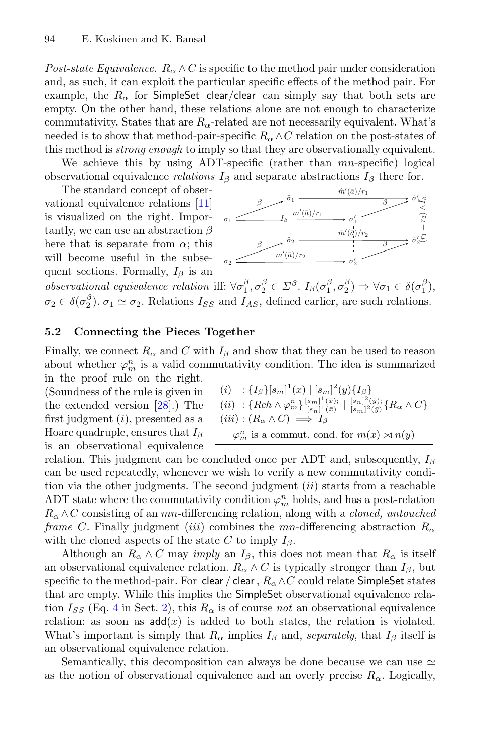*Post-state Equivalence.*  $R_{\alpha} \wedge C$  is specific to the method pair under consideration and, as such, it can exploit the particular specific effects of the method pair. For example, the  $R_{\alpha}$  for SimpleSet clear/clear can simply say that both sets are empty. On the other hand, these relations alone are not enough to characterize commutativity. States that are  $R_{\alpha}$ -related are not necessarily equivalent. What's needed is to show that method-pair-specific  $R_{\alpha} \wedge C$  relation on the post-states of this method is *strong enough* to imply so that they are observationally equivalent.

We achieve this by using ADT-specific (rather than  $mn$ -specific) logical observational equivalence *relations*  $I_\beta$  and separate abstractions  $I_\beta$  there for.

The standard concept of observational equivalence relations [\[11](#page-20-10)] is visualized on the right. Importantly, we can use an abstraction  $\beta$ here that is separate from  $\alpha$ ; this will become useful in the subsequent sections. Formally,  $I_\beta$  is an



*observational equivalence relation* iff:  $\forall \sigma_1^{\beta}, \sigma_2^{\beta} \in \Sigma^{\beta}$ .  $I_{\beta}(\sigma_1^{\beta}, \sigma_2^{\beta}) \Rightarrow \forall \sigma_1 \in \delta(\sigma_1^{\beta})$ ,  $\sigma_2 \in \delta(\sigma_2^{\beta})$ .  $\sigma_1 \simeq \sigma_2$ . Relations  $I_{SS}$  and  $I_{AS}$ , defined earlier, are such relations.

#### **5.2 Connecting the Pieces Together**

Finally, we connect  $R_{\alpha}$  and C with  $I_{\beta}$  and show that they can be used to reason about whether  $\varphi_m^n$  is a valid commutativity condition. The idea is summarized

in the proof rule on the right. (Soundness of the rule is given in the extended version [\[28\]](#page-21-10).) The first judgment  $(i)$ , presented as a Hoare quadruple, ensures that  $I_\beta$ is an observational equivalence

$$
\begin{array}{l}\n(i) : \{I_{\beta}\}[s_m]^1(\bar{x}) \mid [s_m]^2(\bar{y})\{I_{\beta}\} \\
(ii) : \{Rch \wedge \varphi_m^n\}\substack{[s_m]^1(\bar{x})} \mid [s_n]^2(\bar{y}); \\
[s_m]^2(\bar{y})\{R_{\alpha} \wedge C\} \\
(iii) : (R_{\alpha} \wedge C) \Longrightarrow I_{\beta} \\
\varphi_m^n \text{ is a commut. cond. for } m(\bar{x}) \bowtie n(\bar{y})\n\end{array}
$$

relation. This judgment can be concluded once per ADT and, subsequently,  $I_\beta$ can be used repeatedly, whenever we wish to verify a new commutativity condition via the other judgments. The second judgment  $(ii)$  starts from a reachable ADT state where the commutativity condition  $\varphi_m^n$  holds, and has a post-relation  $R_{\alpha} \wedge C$  consisting of an *mn*-differencing relation, along with a *cloned, untouched frame* C. Finally judgment (*iii*) combines the mn-differencing abstraction  $R_{\alpha}$ with the cloned aspects of the state C to imply  $I_\beta$ .

Although an  $R_{\alpha} \wedge C$  may *imply* an  $I_{\beta}$ , this does not mean that  $R_{\alpha}$  is itself an observational equivalence relation.  $R_{\alpha} \wedge C$  is typically stronger than  $I_{\beta}$ , but specific to the method-pair. For clear / clear,  $R_{\alpha} \wedge C$  could relate SimpleSet states that are empty. While this implies the SimpleSet observational equivalence relation  $I_{SS}$  (Eq. [4](#page-6-0) in Sect. [2\)](#page-2-0), this  $R_{\alpha}$  is of course *not* an observational equivalence relation: as soon as  $add(x)$  is added to both states, the relation is violated. What's important is simply that  $R_{\alpha}$  implies  $I_{\beta}$  and, *separately*, that  $I_{\beta}$  itself is an observational equivalence relation.

Semantically, this decomposition can always be done because we can use  $\simeq$ as the notion of observational equivalence and an overly precise  $R_{\alpha}$ . Logically,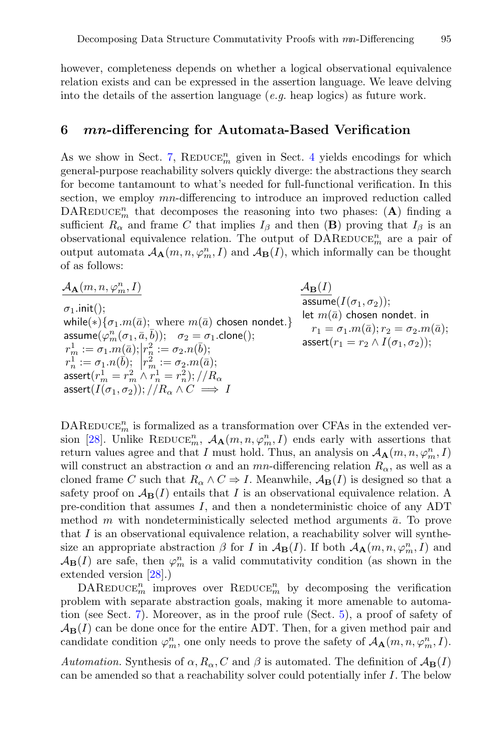however, completeness depends on whether a logical observational equivalence relation exists and can be expressed in the assertion language. We leave delving into the details of the assertion language (*e.g.* heap logics) as future work.

#### <span id="page-14-0"></span>**6** *mn***-differencing for Automata-Based Verification**

As we show in Sect. [7,](#page-15-0)  $\text{REDUCE}_m^n$  given in Sect. [4](#page-8-0) yields encodings for which general-purpose reachability solvers quickly diverge: the abstractions they search for become tantamount to what's needed for full-functional verification. In this section, we employ mn-differencing to introduce an improved reduction called DAREDUCE<sup>n</sup> that decomposes the reasoning into two phases: (A) finding a sufficient  $R_{\alpha}$  and frame C that implies  $I_{\beta}$  and then (**B**) proving that  $I_{\beta}$  is an observational equivalence relation. The output of  $\text{DAREDuce}_{m}^{n}$  are a pair of output automata  $A_{\mathbf{A}}(m, n, \varphi_m^n, I)$  and  $A_{\mathbf{B}}(I)$ , which informally can be thought of as follows:

 $A_{\mathbf{A}}(m, n, \varphi_m^n, I)$  $\frac{m}{m}, I)$   $\mathcal{A}_{\mathbf{B}}(I)$  $\sigma_1$ .init(); while(\*){ $\sigma_1.m(\bar{a})$ ; where  $m(\bar{a})$  chosen nondet.}  $\mathsf{assume}(\varphi^n_m(\sigma_1, \bar a, \bar b)); \quad \sigma_2 = \sigma_1.\mathsf{clone}();$  $r^1_m:=\sigma_1.m[\bar{a}); \big|r^2_n:=\sigma_2.n(\bar{b});$  $r^1_n:=\sigma_1.n(\vec b);\ \ \big|r^2_m:=\sigma_2.m(\bar a);$  $\mathsf{assert}(r_m^1=r_m^2\wedge r_n^1=r_n^2); // R_\alpha$ assert $(I(\sigma_1, \sigma_2))$ ;  $//R_{\alpha} \wedge C \implies I$ 

 $\mathsf{assume}(I(\sigma_1,\sigma_2));$ let  $m(\bar{a})$  chosen nondet. in  $r_1 = \sigma_1.m(\bar{a}); r_2 = \sigma_2.m(\bar{a});$ assert $(r_1 = r_2 \wedge I(\sigma_1, \sigma_2))$ ;

 $\mathrm{DAREDuce}_{m}^{n}$  is formalized as a transformation over CFAs in the extended ver-sion [\[28](#page-21-10)]. Unlike REDUCE<sup>n</sup>,  $\mathcal{A}_{\mathbf{A}}(m, n, \varphi_m^n, I)$  ends early with assertions that return values agree and that I must hold. Thus, an analysis on  $A_{\mathbf{A}}(m, n, \varphi_m^n, I)$ will construct an abstraction  $\alpha$  and an mn-differencing relation  $R_{\alpha}$ , as well as a cloned frame C such that  $R_{\alpha} \wedge C \Rightarrow I$ . Meanwhile,  $\mathcal{A}_{\mathbf{B}}(I)$  is designed so that a safety proof on  $\mathcal{A}_{\mathbf{B}}(I)$  entails that I is an observational equivalence relation. A pre-condition that assumes I, and then a nondeterministic choice of any ADT method m with nondeterministically selected method arguments  $\bar{a}$ . To prove that  $I$  is an observational equivalence relation, a reachability solver will synthesize an appropriate abstraction  $\beta$  for I in  $\mathcal{A}_{\mathbf{B}}(I)$ . If both  $\mathcal{A}_{\mathbf{A}}(m, n, \varphi_m^n, I)$  and  $\mathcal{A}_{\mathbf{B}}(I)$  are safe, then  $\varphi_m^n$  is a valid commutativity condition (as shown in the extended version [\[28](#page-21-10)].)

 $\text{DAREDuce}_{m}^{n}$  improves over REDUCE<sub>m</sub> by decomposing the verification problem with separate abstraction goals, making it more amenable to automation (see Sect. [7\)](#page-15-0). Moreover, as in the proof rule (Sect. [5\)](#page-10-0), a proof of safety of  $\mathcal{A}_{\mathbf{B}}(I)$  can be done once for the entire ADT. Then, for a given method pair and candidate condition  $\varphi_m^n$ , one only needs to prove the safety of  $A_{\mathbf{A}}(m, n, \varphi_m^n, I)$ .

*Automation.* Synthesis of  $\alpha$ ,  $R_{\alpha}$ , C and  $\beta$  is automated. The definition of  $\mathcal{A}_{\mathbf{B}}(I)$ can be amended so that a reachability solver could potentially infer I. The below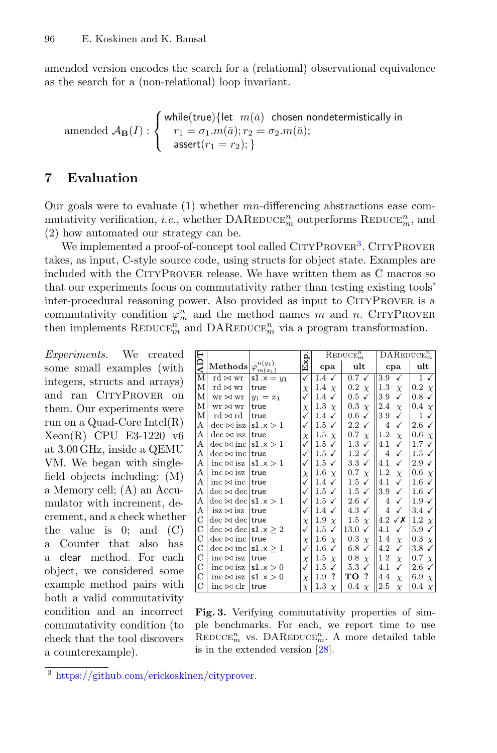amended version encodes the search for a (relational) observational equivalence as the search for a (non-relational) loop invariant.

$$
\text{amended }\mathcal{A}_{\mathbf{B}}(I):\left\{\begin{array}{l}\text{while}(\text{true})\{\text{let }m(\bar{a})\text{ chosen nondetermintically in}\\ r_1=\sigma_1.m(\bar{a});r_2=\sigma_2.m(\bar{a});\\ \text{assert}(r_1=r_2);\}\end{array}\right.
$$

## <span id="page-15-0"></span>**7 Evaluation**

Our goals were to evaluate  $(1)$  whether mn-differencing abstractions ease commutativity verification, *i.e.*, whether  $\text{DAREDuce}_{m}^{n}$  outperforms  $\text{REDuce}_{m}^{n}$ , and (2) how automated our strategy can be.

We implemented a proof-of-concept tool called CITYPROVER<sup>[3](#page-15-1)</sup>. CITYPROVER takes, as input, C-style source code, using structs for object state. Examples are included with the CityProver release. We have written them as C macros so that our experiments focus on commutativity rather than testing existing tools' inter-procedural reasoning power. Also provided as input to CITYPROVER is a commutativity condition  $\varphi_m^n$  and the method names m and n. CITYPROVER then implements  $\text{REDUCE}_m^n$  and  $\text{DAREDuce}_m^n$  via a program transformation.

*Experiments.* We created some small examples (with integers, structs and arrays) and ran CITYPROVER on them. Our experiments were run on a Quad-Core Intel(R) Xeon(R) CPU E3-1220 v6 at 3.00 GHz, inside a QEMU VM. We began with singlefield objects including: (M) a Memory cell; (A) an Accumulator with increment, decrement, and a check whether the value is  $0$ ; and  $(C)$ a Counter that also has a clear method. For each object, we considered some example method pairs with both a valid commutativity condition and an incorrect commutativity condition (to check that the tool discovers a counterexample).

|               |                                                                   |              |              | $\mathrm{REDUCE}^n_m$   |                      | $\mathrm{DAREDUCE}_{m}^{n}$ |                        |
|---------------|-------------------------------------------------------------------|--------------|--------------|-------------------------|----------------------|-----------------------------|------------------------|
| ADT           | Methods $\big \varphi^{n(y_1)}_{m(\bar{x}_1)}\big $               |              | Exp.         | cpa                     | ult                  | cpa                         | ult                    |
| М             | rd $\bowtie$ wr                                                   | $s1.x = y_1$ | √            | $1.4\checkmark$         | $0.7\sqrt{ }$        | 3.9<br>✓                    | $1 \checkmark$         |
| М             | rd $\bowtie$ wr                                                   | true         | X            | 1.4 $\chi$              | $0.2 \chi$           | $1.3\,$<br>$\chi$           | $0.2 \chi$             |
| М             | $wr \bowtie wr$                                                   | $y_1 = x_1$  | $\checkmark$ | $1.4\checkmark$         | $0.5 \checkmark$     | 3.9<br>✓                    | $0.8\checkmark$        |
| М             | $wr \bowtie wr$                                                   | true         | X            | 1.3 $\chi$              | 0.3 $\chi$           | 2.4<br>$\chi$               | 0.4 $\chi$             |
| М             | rd ⊳∣rd                                                           | true         | ✓            | $1.4\checkmark$         | $0.6\checkmark$      | 3.9<br>✓                    | 1<br>✓                 |
| А             | $dec \bowtie$ isz                                                 | s $1.x > 1$  | $\checkmark$ | $1.5 \checkmark$        | $2.2\checkmark$      | 4<br>✓                      | $2.6\checkmark$        |
| А             | $dec \bowtie$ isz                                                 | true         | $\chi$       | 1.5 $\chi$              | $0.7 \chi$           | $1.2\,$<br>$\chi$           | $0.6 \chi$             |
| А             | $\text{dec} \bowtie \text{inc} \mid \text{s1.x} > 1$              |              | ✓            | $1.5 \checkmark$        | $1.3 \checkmark$     | 4.1<br>✓                    | $1.7 \checkmark$       |
| А             | $dec \bowtie inc$   true                                          |              | $\checkmark$ | $1.5 \checkmark$        | $1.2 \checkmark$     | 4<br>✓                      | $1.5 \checkmark$       |
| А             | $inc \bowtie$ isz                                                 | s1.x>1       | ✓            | $1.5 \checkmark$        | $3.3 \checkmark$     | 4.1<br>✓                    | $2.9\checkmark$        |
| А             | $inc \bowtie$ isz   true                                          |              | X            | 1.6 $\chi$              | $0.7 \chi$           | $1.2\,$<br>$\chi$           | $0.6\chi$              |
| А             | inc $\bowtie$ inc   true                                          |              | $\checkmark$ | $1.4\checkmark$         | $1.5 \checkmark$     | 4.1<br>✓                    | $1.6\checkmark$        |
| А             | $\text{dec} \bowtie \text{dec}   \text{true}$                     |              | ✓            | $1.5 \checkmark$        | $1.5 \checkmark$     | 3.9<br>√                    | $1.6\checkmark$        |
| А             | $\text{dec} \bowtie \text{dec}   \text{s1.x} > 1$                 |              | $\checkmark$ | $1.5 \checkmark$        | $2.6\checkmark$      | 4<br>✓                      | $1.9\checkmark$        |
| А             | $isz \bowtie isz$                                                 | true         | $\checkmark$ | 1.4 $\checkmark$        | 4.3 $\checkmark$     | 4<br>✓                      | $3.4\checkmark$        |
| С             | $\text{dec} \bowtie \text{dec}   \text{true}$                     |              | X            | 1.9 $\chi$              | 1.5 $\chi$           | 4.2 $\checkmark$ X          | 1.2 $\chi$             |
| $\mathcal{C}$ | $\text{dec} \bowtie \text{dec}   \text{s1.x} > 2$                 |              | ✓            | $1.5 \checkmark$        | 13.0<br>$\checkmark$ | 4.1                         | $5.9\checkmark$        |
| $\mathcal{C}$ | $\text{dec} \bowtie \text{inc}$ true                              |              | X            | 1.6 $\chi$              | $0.3 \chi$           | 1.4<br>$\chi$               | 0.3 $\chi$             |
| $\mathcal{C}$ | $\text{dec} \bowtie \text{inc}   \text{s1} \cdot \text{x} \geq 1$ |              | ✓            | $1.6\,$<br>$\checkmark$ | $6.8\checkmark$      | 4.2<br>✓                    | $3.8\checkmark$        |
| $\mathcal{C}$ | inc $\bowtie$ isz                                                 | true         | $\chi$       | 1.5 $\chi$              | 0.8 $\,\chi$         | $1.2\,$<br>$\chi$           | $0.7 \chi$             |
| С             | $inc \bowtie$ isz                                                 | s1.x>0       | ✓            | $1.5 \checkmark$        | $5.3 \checkmark$     | 4.1<br>✓                    | $2.6\checkmark$        |
| $\mathcal{C}$ | inc $\bowtie$ isz  s1.x > 0                                       |              | $\chi$       | $\cdot$<br>1.9          | TO ?                 | 4.4<br>$\chi$               | 6.9 $\chi$             |
| С             | inc $\bowtie$ clr                                                 | true         | $\chi$       | 1.3<br>$\chi$           | $0.4\,$<br>$\chi$    | $_{2.5}$<br>$\chi$          | 0.4<br>$\vert x \vert$ |

<span id="page-15-2"></span>**Fig. 3.** Verifying commutativity properties of simple benchmarks. For each, we report time to use  $\mathrm{REDUCE}_m^n$  vs. DAREDUCE<sub>m</sub>. A more detailed table is in the extended version [\[28\]](#page-21-10).

<span id="page-15-1"></span><sup>3</sup> [https://github.com/erickoskinen/cityprover.](https://github.com/erickoskinen/cityprover)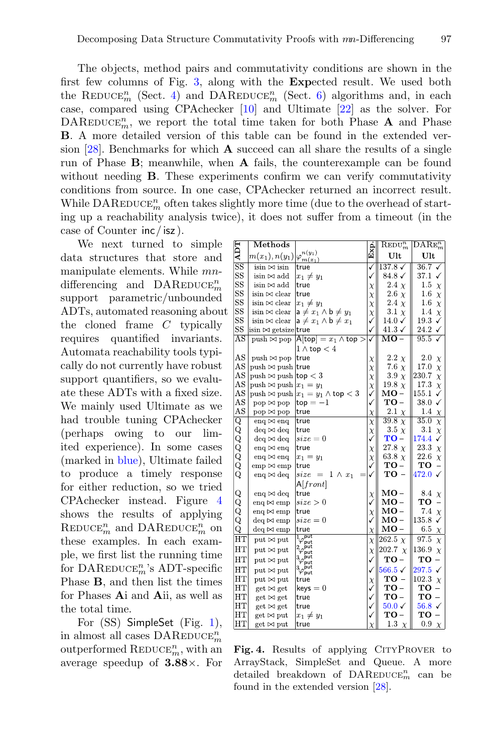The objects, method pairs and commutativity conditions are shown in the first few columns of Fig. [3,](#page-15-2) along with the **Exp**ected result. We used both the REDUCE<sup>n</sup><sub>m</sub> (Sect. [4\)](#page-8-0) and DAREDUCE<sup>n</sup><sub>m</sub> (Sect. [6\)](#page-14-0) algorithms and, in each case, compared using CPAchecker [\[10\]](#page-20-4) and Ultimate [\[22\]](#page-21-9) as the solver. For  $\text{DAREDuce}_{m}^{n}$ , we report the total time taken for both Phase **A** and Phase **B**. A more detailed version of this table can be found in the extended version [\[28](#page-21-10)]. Benchmarks for which **A** succeed can all share the results of a single run of Phase **B**; meanwhile, when **A** fails, the counterexample can be found without needing **B**. These experiments confirm we can verify commutativity conditions from source. In one case, CPAchecker returned an incorrect result. While  $\mathtt{DAREDUCE}^n_m$  often takes slightly more time (due to the overhead of starting up a reachability analysis twice), it does not suffer from a timeout (in the case of Counter inc/ isz ).

We next turned to simple data structures that store and manipulate elements. While mndifferencing and  $\text{DAREDuce}_{m}^{n}$ support parametric/unbounded ADTs, automated reasoning about the cloned frame C typically requires quantified invariants. Automata reachability tools typically do not currently have robust support quantifiers, so we evaluate these ADTs with a fixed size. We mainly used Ultimate as we had trouble tuning CPAchecker (perhaps owing to our limited experience). In some cases (marked in blue), Ultimate failed to produce a timely response for either reduction, so we tried CPAchecker instead. Figure [4](#page-16-0) shows the results of applying  $\mathrm{REDUCE}^n_m$  and  $\mathrm{DAREDuce}^n_m$  on these examples. In each example, we first list the running time for  $\mathrm{DAREDuce}_{m}^{n}$ 's ADT-specific Phase **B**, and then list the times for Phases **A**i and **A**ii, as well as the total time.

For (SS) SimpleSet (Fig. [1\)](#page-3-0), in almost all cases  $\mathsf{DAREDuce}_{m}^{n}$ outperformed  $\mathrm{REDUCE}_m^n$ , with an average speedup of **3.88**×. For

| <b>ADT</b>  | $\operatorname{Methods}$             |                                                         |                  | $\mathrm{REDU}_{m}^{n}$    | $\overline{\mathrm{DARE}}_m^n$ |
|-------------|--------------------------------------|---------------------------------------------------------|------------------|----------------------------|--------------------------------|
|             | $m(x_1), n(y_1)$                     | $n(y_1)$<br>$\varphi_{\underline{m}(x_1)}^{\cdots}$     | Exp.             | Ult                        | Ult                            |
| $_{\rm SS}$ | $\sin \bowtie \sin$                  | true                                                    | ✓                | $137.8\sqrt{ }$            | $36.7\sqrt$                    |
| $_{\rm SS}$ | isin $\bowtie$ add                   | $x_1 \neq y_1$                                          | ✓                | $84.8\checkmark$           | 37.1<br>✓                      |
| SS          | $\mathrm{isin} \bowtie \mathrm{add}$ | true                                                    | $\chi$           | 2.4 $\chi$                 | 1.5<br>$\chi$                  |
| SS          | isin $\bowtie$ clear                 | true                                                    | $\chi$           | 2.6 $\chi$                 | 1.6<br>$\chi$                  |
| SS          | $\sin \bowtie$ clear                 | $x_1 \neq y_1$                                          | $\chi$           | 2.4 $\chi$                 | $1.6\,$<br>$\chi$              |
| SS          | $isin \bowtie$ clear                 | $a \neq x_1 \wedge b \neq y_1$                          | $\chi$           | 3.1 $\chi$                 | 1.4<br>$\chi$                  |
| $_{\rm SS}$ | $\sin \bowtie$ clear                 | $a \neq x_1 \wedge b \neq x_1$                          | ✓                | $14.0\checkmark$           | 19.3<br>✓                      |
| SS          | $\sin \bowtie$ getsize true          |                                                         | ✓                | $41.3\checkmark$           | 24.2 $\checkmark$              |
| $_{\rm AS}$ | $push \bowtie pop$                   | $A[top] = x_1 \wedge top >$                             | ✓                | $\overline{\mathrm{MO}}$ – | 95.5<br>√                      |
|             |                                      | $1 \wedge$ top $< 4$                                    |                  |                            |                                |
| AS          | push $\bowtie$ pop                   | true                                                    |                  | $2.2 \chi$                 | 2.0<br>$\chi$                  |
| AS          | push $\bowtie$ push true             |                                                         | $\chi$           | 7.6 $\chi$                 | 17.0<br>$\chi$                 |
| $_{\rm AS}$ | $push \bowtie push$  top $< 3$       |                                                         | $\chi$<br>$\chi$ | 3.9 $\chi$                 | 230.7<br>$\chi$                |
| AS          | push $\bowtie$ push $x_1 = y_1$      |                                                         |                  | 19.8 $\chi$                | 17.3<br>$\chi$                 |
| $_{\rm AS}$ |                                      | push $\bowtie$ push $ x_1 = y_1 \land \textsf{top} < 3$ | $\chi$<br>✓      | MO –                       | 155.1<br>✓                     |
| AS          | $pop \bowtie pop$                    | $top = -1$                                              | ✓                | $TO-$                      | 38.0<br>✓                      |
| $_{\rm AS}$ | pop ⊠ pop                            | true                                                    |                  | $2.1 \chi$                 | 1.4                            |
|             | enq $\bowtie$ enq                    | true                                                    | $\chi$           | $\overline{39.8} \chi$     | $\chi$<br>35.0                 |
| 00000000    | $\text{deg} \bowtie \text{deg}$      | true                                                    | $\chi$           | 3.5 $\chi$                 | $\chi$<br>3.1<br>$\chi$        |
|             | $deq \bowtie deq$                    | $size = 0$                                              | $\chi$<br>✓      | $TO-$                      | 174.4<br>✓                     |
|             | enq $\bowtie$ enq                    | true                                                    |                  | 27.8 $\chi$                | 23.3                           |
|             | enq $\bowtie$ enq                    | $x_1 = y_1$                                             | $\chi$           | 63.8 $\chi$                | $\chi$<br>22.6<br>$\chi$       |
|             | $emp \bowtie emp$                    | true                                                    | $\chi$<br>✓      | $TO -$                     | TO<br>-                        |
|             | eng $\bowtie$ deg                    | size = $1 \wedge x_1$                                   | $\checkmark$     | $TO -$                     | 472.0<br>✓                     |
|             |                                      | A[front]                                                |                  |                            |                                |
|             | enq $\bowtie$ deq                    | true                                                    |                  | $MO -$                     | 8.4                            |
|             | enq $\bowtie$ emp                    | size>0                                                  | $\chi$<br>✓      | $MO -$                     | $\chi$<br>TO                   |
|             | enq $\bowtie$ emp                    | true                                                    |                  | $MO -$                     | 7.4                            |
| OOOO        | $deq \bowtie emp$                    | $size = 0$                                              | $\chi$<br>✓      | $MO -$                     | $\chi$<br>135.8<br>✓           |
| Q           | $\text{deg} \bowtie \text{emp}$      | true                                                    | $\chi$           | $MO -$                     | 6.5                            |
| HT          |                                      |                                                         |                  |                            | $\chi$                         |
|             | $put \bowtie put$                    | $\frac{1}{\varphi_{\text{put}}^{\text{put}}}$           | $\chi$           | 262.5 $\chi$               | 97.5<br>$\chi$                 |
| HT          | $put \bowtie put$                    | $2\varphi_{\mathsf{put}}^{\mathsf{put}}$                | $\chi$           | 202.7 $\chi$               | 136.9<br>$\chi$                |
| HT          | $put \bowtie put$                    | $_{3\varphi}^{\rm put}$                                 | ✓                | $TO -$                     | TO<br>÷                        |
| HT          | $put \bowtie put$                    | $\frac{3}{\varphi_{\text{put}}^{\text{but}}}$           | ✓                | $566.5 \checkmark$         | 297.5<br>$\checkmark$          |
| HT          | $put \bowtie put$                    | true                                                    | $\chi$           | $TO -$                     | 102.3<br>$\chi$                |
| HT          | $get \bowtie get$                    | $keys = 0$                                              | ✓                | $TO -$                     | TО<br>-                        |
| HT          | get ⊳ get                            | true                                                    | ✓                | $TO -$                     | $TO -$                         |
| HT          | $get \bowtie get$                    | true                                                    | ✓                | $50.0\sqrt{ }$             | $56.8\checkmark$               |
| <b>HT</b>   | get ⊳ put                            | $x_1 \neq y_1$                                          | ✓                | $TO-$                      | TO                             |
| HΤ          | get ⊠ put                            | true                                                    | $\chi$           | 1.3<br>$\chi$              | 0.9<br>$\chi$                  |

<span id="page-16-0"></span>Fig. 4. Results of applying CITYPROVER to ArrayStack, SimpleSet and Queue. A more detailed breakdown of  $\text{DAREDuce}_{m}^{n}$  can be found in the extended version [\[28](#page-21-10)].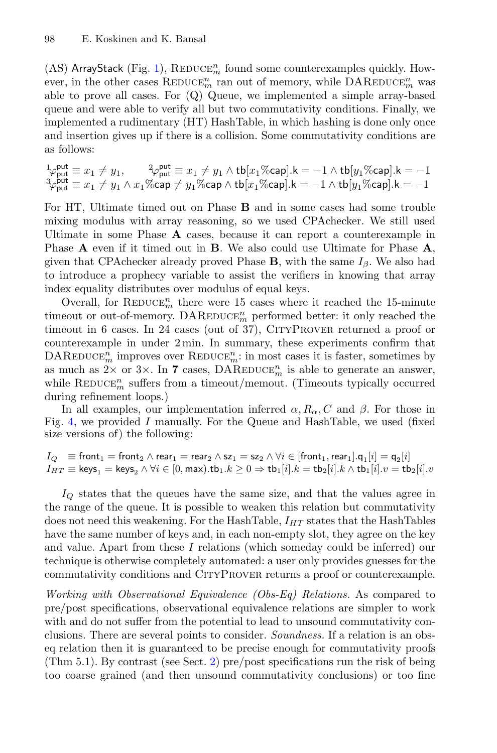(AS) ArrayStack (Fig. [1\)](#page-3-0),  $\mathrm{REDUCE}_m^n$  found some counterexamples quickly. However, in the other cases  $\mathrm{REDUCE}_m^n$  ran out of memory, while  $\mathrm{DAREDuce}_m^n$  was able to prove all cases. For (Q) Queue, we implemented a simple array-based queue and were able to verify all but two commutativity conditions. Finally, we implemented a rudimentary (HT) HashTable, in which hashing is done only once and insertion gives up if there is a collision. Some commutativity conditions are as follows:

$$
\begin{array}{l}\n\downarrow_{\varphi_{\text{put}}^{\text{put}}\equiv x_{1}\neq y_{1}, \qquad \, \downarrow_{\varphi_{\text{put}}^{\text{put}}\equiv x_{1}\neq y_{1} \land \text{tb}[x_{1}\% \text{cap}].\mathsf{k}=-1 \land \text{tb}[y_{1}\% \text{cap}].\mathsf{k}=-1 \\
\uparrow_{\varphi_{\text{put}}^{\text{put}}\equiv x_{1}\neq y_{1} \land x_{1}\% \text{cap} \neq y_{1}\% \text{cap} \land \text{tb}[x_{1}\% \text{cap}].\mathsf{k}=-1 \land \text{tb}[y_{1}\% \text{cap}].\mathsf{k}=-1\n\end{array}
$$

For HT, Ultimate timed out on Phase **B** and in some cases had some trouble mixing modulus with array reasoning, so we used CPAchecker. We still used Ultimate in some Phase **A** cases, because it can report a counterexample in Phase **A** even if it timed out in **B**. We also could use Ultimate for Phase **A**, given that CPA checker already proved Phase **B**, with the same  $I_\beta$ . We also had to introduce a prophecy variable to assist the verifiers in knowing that array index equality distributes over modulus of equal keys.

Overall, for  $\mathrm{REDUCE}_m^n$  there were 15 cases where it reached the 15-minute timeout or out-of-memory.  $\mathtt{DAREDuce}^n_m$  performed better: it only reached the timeout in 6 cases. In 24 cases (out of 37), CITYPROVER returned a proof or counterexample in under 2 min. In summary, these experiments confirm that  $\mathrm{DAREDuce}_{m}^{n}$  improves over  $\mathrm{REDuce}_{m}^{n}$  : in most cases it is faster, sometimes by as much as  $2 \times$  or  $3 \times$ . In **7** cases, DAREDUCE<sup>n</sup> is able to generate an answer, while  $\mathrm{REDuce}_{m}^{n}$  suffers from a timeout/memout. (Timeouts typically occurred during refinement loops.)

In all examples, our implementation inferred  $\alpha, R_{\alpha}, C$  and  $\beta$ . For those in Fig. [4,](#page-16-0) we provided I manually. For the Queue and HashTable, we used (fixed size versions of) the following:

 $I_Q$  = front $_1$  = front $_2$   $\wedge$  rear $_1$  = rear $_2$   $\wedge$  sz $_1$  = sz $_2$   $\wedge$   $\forall i \in$  [front $_1$ , rear $_1$ ]. $\mathsf{q}_1[i]$  =  $\mathsf{q}_2[i]$  $I_{HT} \equiv \text{keys}_1 = \text{keys}_2 \land \forall i \in [0, \text{max}).\text{tb}_1.k \geq 0 \Rightarrow \text{tb}_1[i].k = \text{tb}_2[i].k \land \text{tb}_1[i].v = \text{tb}_2[i].v$ 

 $I_Q$  states that the queues have the same size, and that the values agree in the range of the queue. It is possible to weaken this relation but commutativity does not need this weakening. For the HashTable,  $I_{HT}$  states that the HashTables have the same number of keys and, in each non-empty slot, they agree on the key and value. Apart from these I relations (which someday could be inferred) our technique is otherwise completely automated: a user only provides guesses for the commutativity conditions and CityProver returns a proof or counterexample.

*Working with Observational Equivalence (Obs-Eq) Relations.* As compared to pre/post specifications, observational equivalence relations are simpler to work with and do not suffer from the potential to lead to unsound commutativity conclusions. There are several points to consider. *Soundness.* If a relation is an obseq relation then it is guaranteed to be precise enough for commutativity proofs (Thm 5.1). By contrast (see Sect. [2\)](#page-2-0) pre/post specifications run the risk of being too coarse grained (and then unsound commutativity conclusions) or too fine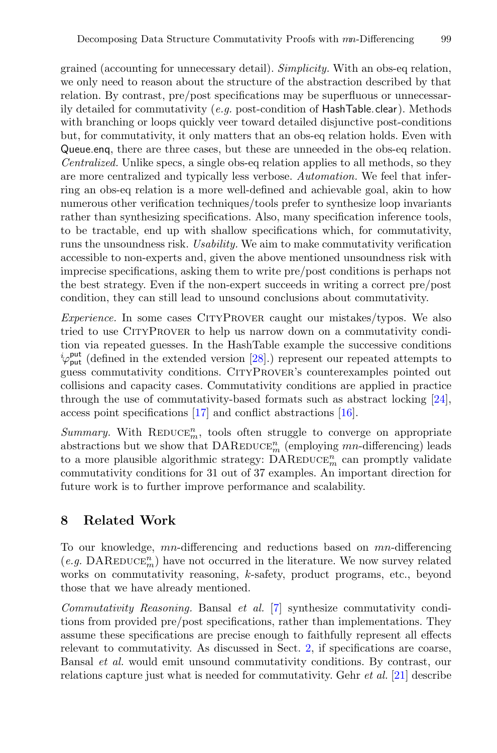grained (accounting for unnecessary detail). *Simplicity.* With an obs-eq relation, we only need to reason about the structure of the abstraction described by that relation. By contrast, pre/post specifications may be superfluous or unnecessarily detailed for commutativity (*e.g.* post-condition of HashTable.clear). Methods with branching or loops quickly veer toward detailed disjunctive post-conditions but, for commutativity, it only matters that an obs-eq relation holds. Even with Queue.enq, there are three cases, but these are unneeded in the obs-eq relation. *Centralized.* Unlike specs, a single obs-eq relation applies to all methods, so they are more centralized and typically less verbose. *Automation.* We feel that inferring an obs-eq relation is a more well-defined and achievable goal, akin to how numerous other verification techniques/tools prefer to synthesize loop invariants rather than synthesizing specifications. Also, many specification inference tools, to be tractable, end up with shallow specifications which, for commutativity, runs the unsoundness risk. *Usability.* We aim to make commutativity verification accessible to non-experts and, given the above mentioned unsoundness risk with imprecise specifications, asking them to write pre/post conditions is perhaps not the best strategy. Even if the non-expert succeeds in writing a correct pre/post condition, they can still lead to unsound conclusions about commutativity.

*Experience.* In some cases CITYPROVER caught our mistakes/typos. We also tried to use CityProver to help us narrow down on a commutativity condition via repeated guesses. In the HashTable example the successive conditions  $i_{\varphi_{\text{put}}}^{\text{put}}$  (defined in the extended version [\[28](#page-21-10)].) represent our repeated attempts to guess commutativity conditions. CityProver's counterexamples pointed out collisions and capacity cases. Commutativity conditions are applied in practice through the use of commutativity-based formats such as abstract locking [\[24\]](#page-21-1), access point specifications [\[17](#page-21-4)] and conflict abstractions [\[16\]](#page-21-0).

 $Summary.$  With  $REDuce<sub>m</sub><sup>n</sup>$ , tools often struggle to converge on appropriate abstractions but we show that  $\text{DAREDuce}_{m}^{n}$  (employing  $mn$ -differencing) leads to a more plausible algorithmic strategy:  $\text{DAREDuce}_{m}^{n}$  can promptly validate commutativity conditions for 31 out of 37 examples. An important direction for future work is to further improve performance and scalability.

# **8 Related Work**

To our knowledge, mn-differencing and reductions based on mn-differencing  $(e.g.~\text{DAREDUCE}^n_m)$  have not occurred in the literature. We now survey related works on commutativity reasoning, k-safety, product programs, etc., beyond those that we have already mentioned.

*Commutativity Reasoning.* Bansal *et al.* [\[7\]](#page-20-3) synthesize commutativity conditions from provided pre/post specifications, rather than implementations. They assume these specifications are precise enough to faithfully represent all effects relevant to commutativity. As discussed in Sect. [2,](#page-2-0) if specifications are coarse, Bansal *et al.* would emit unsound commutativity conditions. By contrast, our relations capture just what is needed for commutativity. Gehr *et al.* [\[21\]](#page-21-7) describe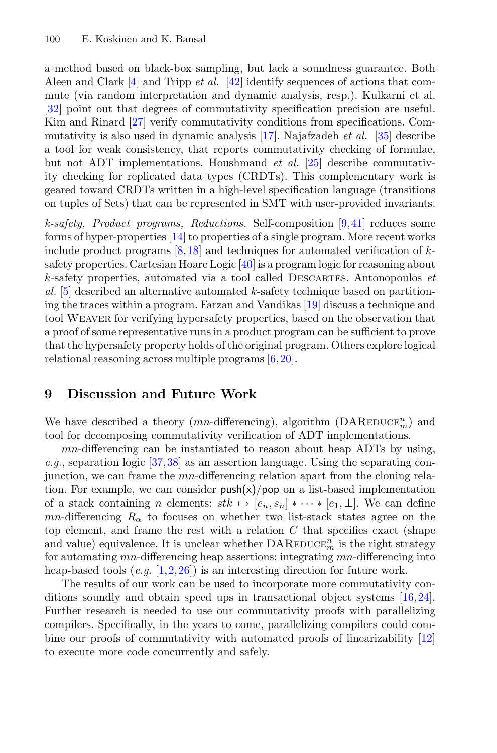a method based on black-box sampling, but lack a soundness guarantee. Both Aleen and Clark [\[4\]](#page-20-2) and Tripp *et al.* [\[42](#page-22-8)] identify sequences of actions that commute (via random interpretation and dynamic analysis, resp.). Kulkarni et al. [\[32](#page-22-9)] point out that degrees of commutativity specification precision are useful. Kim and Rinard [\[27\]](#page-21-8) verify commutativity conditions from specifications. Commutativity is also used in dynamic analysis [\[17](#page-21-4)]. Najafzadeh *et al.* [\[35](#page-22-10)] describe a tool for weak consistency, that reports commutativity checking of formulae, but not ADT implementations. Houshmand *et al.* [\[25](#page-21-14)] describe commutativity checking for replicated data types (CRDTs). This complementary work is geared toward CRDTs written in a high-level specification language (transitions on tuples of Sets) that can be represented in SMT with user-provided invariants.

*k-safety, Product programs, Reductions.* Self-composition [\[9](#page-20-7),[41\]](#page-22-5) reduces some forms of hyper-properties [\[14\]](#page-20-5) to properties of a single program. More recent works include product programs  $[8,18]$  $[8,18]$  $[8,18]$  and techniques for automated verification of ksafety properties. Cartesian Hoare Logic [\[40](#page-22-7)] is a program logic for reasoning about k-safety properties, automated via a tool called Descartes. Antonopoulos *et al.* [\[5\]](#page-20-11) described an alternative automated k-safety technique based on partitioning the traces within a program. Farzan and Vandikas [\[19](#page-21-15)] discuss a technique and tool Weaver for verifying hypersafety properties, based on the observation that a proof of some representative runs in a product program can be sufficient to prove that the hypersafety property holds of the original program. Others explore logical relational reasoning across multiple programs [\[6,](#page-20-9)[20\]](#page-21-13).

# **9 Discussion and Future Work**

We have described a theory  $(mn$ -differencing), algorithm  $(DAREDUCE_m^n)$  and tool for decomposing commutativity verification of ADT implementations.

mn-differencing can be instantiated to reason about heap ADTs by using, *e.g.*, separation logic [\[37](#page-22-11),[38\]](#page-22-12) as an assertion language. Using the separating conjunction, we can frame the mn-differencing relation apart from the cloning relation. For example, we can consider  $push(x)/pop$  on a list-based implementation of a stack containing n elements:  $stk \mapsto [e_n, s_n] * \cdots * [e_1, \perp]$ . We can define mn-differencing  $R_{\alpha}$  to focuses on whether two list-stack states agree on the top element, and frame the rest with a relation  $C$  that specifies exact (shape and value) equivalence. It is unclear whether  $\text{DAREDuce}_{m}^{n}$  is the right strategy for automating mn-differencing heap assertions; integrating mn-differencing into heap-based tools (*e.g.* [\[1](#page-20-12)[,2](#page-20-13),[26\]](#page-21-16)) is an interesting direction for future work.

The results of our work can be used to incorporate more commutativity conditions soundly and obtain speed ups in transactional object systems [\[16,](#page-21-0)[24\]](#page-21-1). Further research is needed to use our commutativity proofs with parallelizing compilers. Specifically, in the years to come, parallelizing compilers could combine our proofs of commutativity with automated proofs of linearizability [\[12](#page-20-1)] to execute more code concurrently and safely.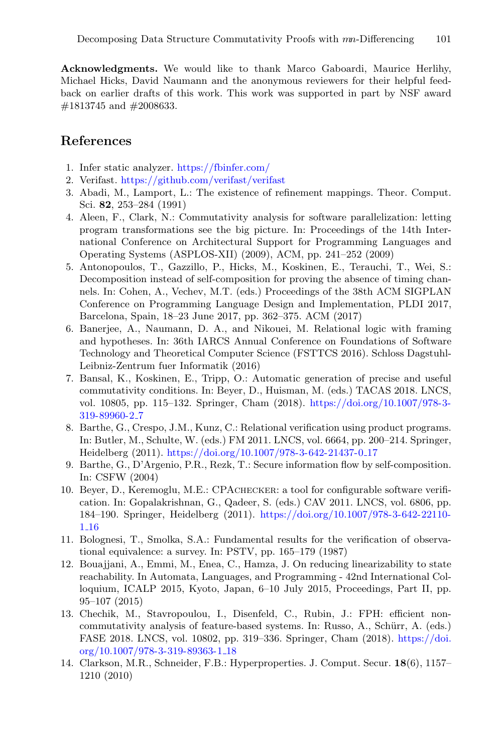**Acknowledgments.** We would like to thank Marco Gaboardi, Maurice Herlihy, Michael Hicks, David Naumann and the anonymous reviewers for their helpful feedback on earlier drafts of this work. This work was supported in part by NSF award #1813745 and #2008633.

# **References**

- <span id="page-20-12"></span>1. Infer static analyzer. <https://fbinfer.com/>
- <span id="page-20-13"></span>2. Verifast. <https://github.com/verifast/verifast>
- <span id="page-20-8"></span>3. Abadi, M., Lamport, L.: The existence of refinement mappings. Theor. Comput. Sci. **82**, 253–284 (1991)
- <span id="page-20-2"></span>4. Aleen, F., Clark, N.: Commutativity analysis for software parallelization: letting program transformations see the big picture. In: Proceedings of the 14th International Conference on Architectural Support for Programming Languages and Operating Systems (ASPLOS-XII) (2009), ACM, pp. 241–252 (2009)
- <span id="page-20-11"></span>5. Antonopoulos, T., Gazzillo, P., Hicks, M., Koskinen, E., Terauchi, T., Wei, S.: Decomposition instead of self-composition for proving the absence of timing channels. In: Cohen, A., Vechev, M.T. (eds.) Proceedings of the 38th ACM SIGPLAN Conference on Programming Language Design and Implementation, PLDI 2017, Barcelona, Spain, 18–23 June 2017, pp. 362–375. ACM (2017)
- <span id="page-20-9"></span>6. Banerjee, A., Naumann, D. A., and Nikouei, M. Relational logic with framing and hypotheses. In: 36th IARCS Annual Conference on Foundations of Software Technology and Theoretical Computer Science (FSTTCS 2016). Schloss Dagstuhl-Leibniz-Zentrum fuer Informatik (2016)
- <span id="page-20-3"></span>7. Bansal, K., Koskinen, E., Tripp, O.: Automatic generation of precise and useful commutativity conditions. In: Beyer, D., Huisman, M. (eds.) TACAS 2018. LNCS, vol. 10805, pp. 115–132. Springer, Cham (2018). [https://doi.org/10.1007/978-3-](https://doi.org/10.1007/978-3-319-89960-2_7) [319-89960-2](https://doi.org/10.1007/978-3-319-89960-2_7) 7
- <span id="page-20-6"></span>8. Barthe, G., Crespo, J.M., Kunz, C.: Relational verification using product programs. In: Butler, M., Schulte, W. (eds.) FM 2011. LNCS, vol. 6664, pp. 200–214. Springer, Heidelberg (2011). [https://doi.org/10.1007/978-3-642-21437-0](https://doi.org/10.1007/978-3-642-21437-0_17) 17
- <span id="page-20-7"></span>9. Barthe, G., D'Argenio, P.R., Rezk, T.: Secure information flow by self-composition. In: CSFW (2004)
- <span id="page-20-4"></span>10. Beyer, D., Keremoglu, M.E.: CPAchecker: a tool for configurable software verification. In: Gopalakrishnan, G., Qadeer, S. (eds.) CAV 2011. LNCS, vol. 6806, pp. 184–190. Springer, Heidelberg (2011). [https://doi.org/10.1007/978-3-642-22110-](https://doi.org/10.1007/978-3-642-22110-1_16) 1 [16](https://doi.org/10.1007/978-3-642-22110-1_16)
- <span id="page-20-10"></span>11. Bolognesi, T., Smolka, S.A.: Fundamental results for the verification of observational equivalence: a survey. In: PSTV, pp. 165–179 (1987)
- <span id="page-20-1"></span>12. Bouajjani, A., Emmi, M., Enea, C., Hamza, J. On reducing linearizability to state reachability. In Automata, Languages, and Programming - 42nd International Colloquium, ICALP 2015, Kyoto, Japan, 6–10 July 2015, Proceedings, Part II, pp. 95–107 (2015)
- <span id="page-20-0"></span>13. Chechik, M., Stavropoulou, I., Disenfeld, C., Rubin, J.: FPH: efficient noncommutativity analysis of feature-based systems. In: Russo, A., Schürr, A. (eds.) FASE 2018. LNCS, vol. 10802, pp. 319–336. Springer, Cham (2018). [https://doi.](https://doi.org/10.1007/978-3-319-89363-1_18) [org/10.1007/978-3-319-89363-1](https://doi.org/10.1007/978-3-319-89363-1_18) 18
- <span id="page-20-5"></span>14. Clarkson, M.R., Schneider, F.B.: Hyperproperties. J. Comput. Secur. **18**(6), 1157– 1210 (2010)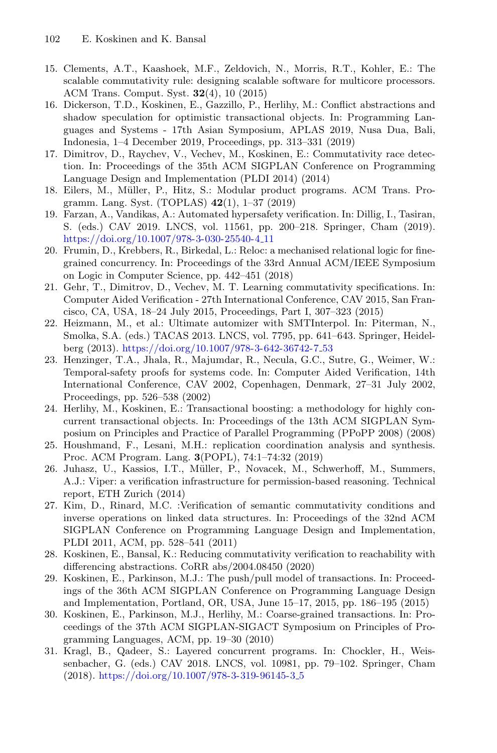- <span id="page-21-6"></span>15. Clements, A.T., Kaashoek, M.F., Zeldovich, N., Morris, R.T., Kohler, E.: The scalable commutativity rule: designing scalable software for multicore processors. ACM Trans. Comput. Syst. **32**(4), 10 (2015)
- <span id="page-21-0"></span>16. Dickerson, T.D., Koskinen, E., Gazzillo, P., Herlihy, M.: Conflict abstractions and shadow speculation for optimistic transactional objects. In: Programming Languages and Systems - 17th Asian Symposium, APLAS 2019, Nusa Dua, Bali, Indonesia, 1–4 December 2019, Proceedings, pp. 313–331 (2019)
- <span id="page-21-4"></span>17. Dimitrov, D., Raychev, V., Vechev, M., Koskinen, E.: Commutativity race detection. In: Proceedings of the 35th ACM SIGPLAN Conference on Programming Language Design and Implementation (PLDI 2014) (2014)
- <span id="page-21-12"></span>18. Eilers, M., Müller, P., Hitz, S.: Modular product programs. ACM Trans. Programm. Lang. Syst. (TOPLAS) **42**(1), 1–37 (2019)
- <span id="page-21-15"></span>19. Farzan, A., Vandikas, A.: Automated hypersafety verification. In: Dillig, I., Tasiran, S. (eds.) CAV 2019. LNCS, vol. 11561, pp. 200–218. Springer, Cham (2019). [https://doi.org/10.1007/978-3-030-25540-4](https://doi.org/10.1007/978-3-030-25540-4_11) 11
- <span id="page-21-13"></span>20. Frumin, D., Krebbers, R., Birkedal, L.: Reloc: a mechanised relational logic for finegrained concurrency. In: Proceedings of the 33rd Annual ACM/IEEE Symposium on Logic in Computer Science, pp. 442–451 (2018)
- <span id="page-21-7"></span>21. Gehr, T., Dimitrov, D., Vechev, M. T. Learning commutativity specifications. In: Computer Aided Verification - 27th International Conference, CAV 2015, San Francisco, CA, USA, 18–24 July 2015, Proceedings, Part I, 307–323 (2015)
- <span id="page-21-9"></span>22. Heizmann, M., et al.: Ultimate automizer with SMTInterpol. In: Piterman, N., Smolka, S.A. (eds.) TACAS 2013. LNCS, vol. 7795, pp. 641–643. Springer, Heidelberg (2013). [https://doi.org/10.1007/978-3-642-36742-7](https://doi.org/10.1007/978-3-642-36742-7_53) 53
- <span id="page-21-11"></span>23. Henzinger, T.A., Jhala, R., Majumdar, R., Necula, G.C., Sutre, G., Weimer, W.: Temporal-safety proofs for systems code. In: Computer Aided Verification, 14th International Conference, CAV 2002, Copenhagen, Denmark, 27–31 July 2002, Proceedings, pp. 526–538 (2002)
- <span id="page-21-1"></span>24. Herlihy, M., Koskinen, E.: Transactional boosting: a methodology for highly concurrent transactional objects. In: Proceedings of the 13th ACM SIGPLAN Symposium on Principles and Practice of Parallel Programming (PPoPP 2008) (2008)
- <span id="page-21-14"></span>25. Houshmand, F., Lesani, M.H.: replication coordination analysis and synthesis. Proc. ACM Program. Lang. **3**(POPL), 74:1–74:32 (2019)
- <span id="page-21-16"></span>26. Juhasz, U., Kassios, I.T., Müller, P., Novacek, M., Schwerhoff, M., Summers, A.J.: Viper: a verification infrastructure for permission-based reasoning. Technical report, ETH Zurich (2014)
- <span id="page-21-8"></span>27. Kim, D., Rinard, M.C. :Verification of semantic commutativity conditions and inverse operations on linked data structures. In: Proceedings of the 32nd ACM SIGPLAN Conference on Programming Language Design and Implementation, PLDI 2011, ACM, pp. 528–541 (2011)
- <span id="page-21-10"></span>28. Koskinen, E., Bansal, K.: Reducing commutativity verification to reachability with differencing abstractions. CoRR abs/2004.08450 (2020)
- <span id="page-21-2"></span>29. Koskinen, E., Parkinson, M.J.: The push/pull model of transactions. In: Proceedings of the 36th ACM SIGPLAN Conference on Programming Language Design and Implementation, Portland, OR, USA, June 15–17, 2015, pp. 186–195 (2015)
- <span id="page-21-3"></span>30. Koskinen, E., Parkinson, M.J., Herlihy, M.: Coarse-grained transactions. In: Proceedings of the 37th ACM SIGPLAN-SIGACT Symposium on Principles of Programming Languages, ACM, pp. 19–30 (2010)
- <span id="page-21-5"></span>31. Kragl, B., Qadeer, S.: Layered concurrent programs. In: Chockler, H., Weissenbacher, G. (eds.) CAV 2018. LNCS, vol. 10981, pp. 79–102. Springer, Cham (2018). [https://doi.org/10.1007/978-3-319-96145-3](https://doi.org/10.1007/978-3-319-96145-3_5) 5